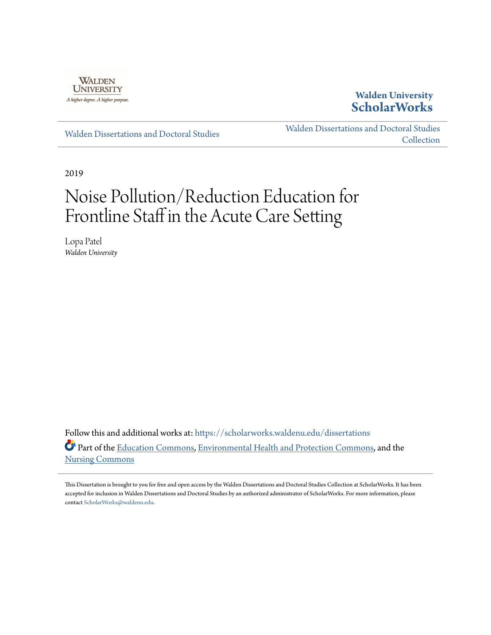

## **Walden University [ScholarWorks](https://scholarworks.waldenu.edu?utm_source=scholarworks.waldenu.edu%2Fdissertations%2F6942&utm_medium=PDF&utm_campaign=PDFCoverPages)**

[Walden Dissertations and Doctoral Studies](https://scholarworks.waldenu.edu/dissertations?utm_source=scholarworks.waldenu.edu%2Fdissertations%2F6942&utm_medium=PDF&utm_campaign=PDFCoverPages)

[Walden Dissertations and Doctoral Studies](https://scholarworks.waldenu.edu/dissanddoc?utm_source=scholarworks.waldenu.edu%2Fdissertations%2F6942&utm_medium=PDF&utm_campaign=PDFCoverPages) **[Collection](https://scholarworks.waldenu.edu/dissanddoc?utm_source=scholarworks.waldenu.edu%2Fdissertations%2F6942&utm_medium=PDF&utm_campaign=PDFCoverPages)** 

2019

# Noise Pollution/Reduction Education for Frontline Staff in the Acute Care Setting

Lopa Patel *Walden University*

Follow this and additional works at: [https://scholarworks.waldenu.edu/dissertations](https://scholarworks.waldenu.edu/dissertations?utm_source=scholarworks.waldenu.edu%2Fdissertations%2F6942&utm_medium=PDF&utm_campaign=PDFCoverPages) Part of the [Education Commons](http://network.bepress.com/hgg/discipline/784?utm_source=scholarworks.waldenu.edu%2Fdissertations%2F6942&utm_medium=PDF&utm_campaign=PDFCoverPages), [Environmental Health and Protection Commons](http://network.bepress.com/hgg/discipline/172?utm_source=scholarworks.waldenu.edu%2Fdissertations%2F6942&utm_medium=PDF&utm_campaign=PDFCoverPages), and the [Nursing Commons](http://network.bepress.com/hgg/discipline/718?utm_source=scholarworks.waldenu.edu%2Fdissertations%2F6942&utm_medium=PDF&utm_campaign=PDFCoverPages)

This Dissertation is brought to you for free and open access by the Walden Dissertations and Doctoral Studies Collection at ScholarWorks. It has been accepted for inclusion in Walden Dissertations and Doctoral Studies by an authorized administrator of ScholarWorks. For more information, please contact [ScholarWorks@waldenu.edu](mailto:ScholarWorks@waldenu.edu).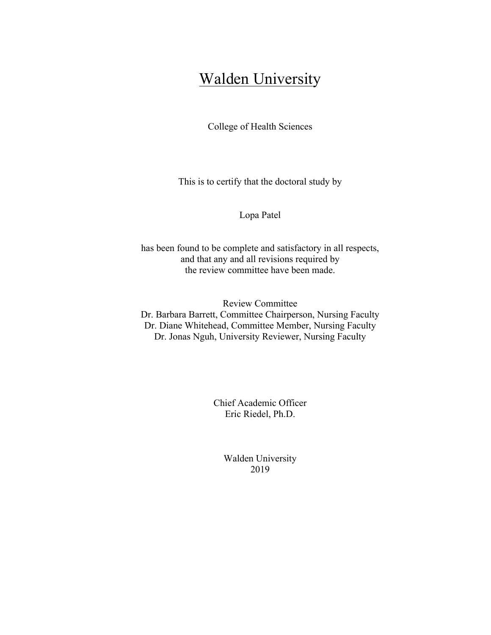## Walden University

College of Health Sciences

This is to certify that the doctoral study by

Lopa Patel

has been found to be complete and satisfactory in all respects, and that any and all revisions required by the review committee have been made.

Review Committee Dr. Barbara Barrett, Committee Chairperson, Nursing Faculty Dr. Diane Whitehead, Committee Member, Nursing Faculty Dr. Jonas Nguh, University Reviewer, Nursing Faculty

> Chief Academic Officer Eric Riedel, Ph.D.

> > Walden University 2019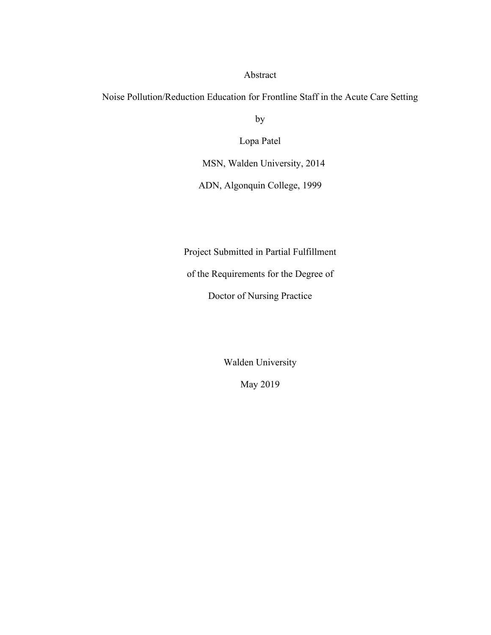#### Abstract

Noise Pollution/Reduction Education for Frontline Staff in the Acute Care Setting

by

Lopa Patel

MSN, Walden University, 2014

ADN, Algonquin College, 1999

Project Submitted in Partial Fulfillment

of the Requirements for the Degree of

Doctor of Nursing Practice

Walden University

May 2019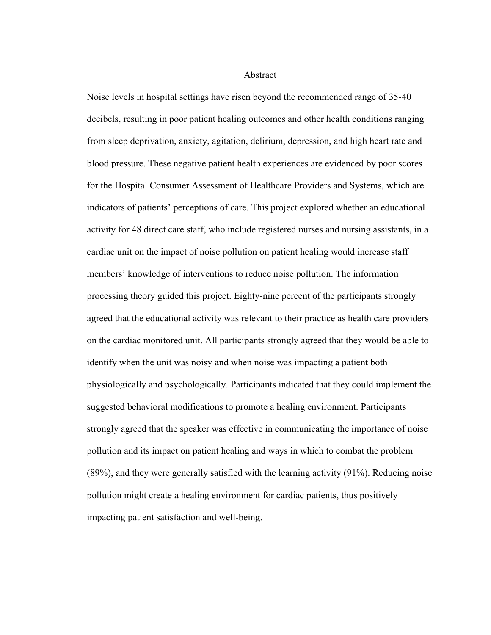#### Abstract

Noise levels in hospital settings have risen beyond the recommended range of 35-40 decibels, resulting in poor patient healing outcomes and other health conditions ranging from sleep deprivation, anxiety, agitation, delirium, depression, and high heart rate and blood pressure. These negative patient health experiences are evidenced by poor scores for the Hospital Consumer Assessment of Healthcare Providers and Systems, which are indicators of patients' perceptions of care. This project explored whether an educational activity for 48 direct care staff, who include registered nurses and nursing assistants, in a cardiac unit on the impact of noise pollution on patient healing would increase staff members' knowledge of interventions to reduce noise pollution. The information processing theory guided this project. Eighty-nine percent of the participants strongly agreed that the educational activity was relevant to their practice as health care providers on the cardiac monitored unit. All participants strongly agreed that they would be able to identify when the unit was noisy and when noise was impacting a patient both physiologically and psychologically. Participants indicated that they could implement the suggested behavioral modifications to promote a healing environment. Participants strongly agreed that the speaker was effective in communicating the importance of noise pollution and its impact on patient healing and ways in which to combat the problem (89%), and they were generally satisfied with the learning activity (91%). Reducing noise pollution might create a healing environment for cardiac patients, thus positively impacting patient satisfaction and well-being.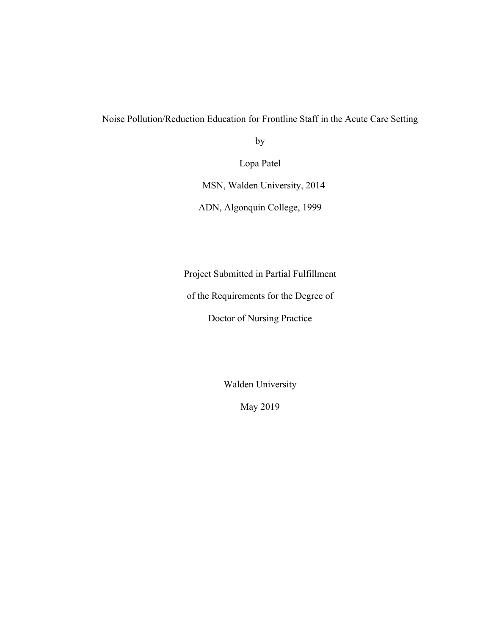Noise Pollution/Reduction Education for Frontline Staff in the Acute Care Setting

by

Lopa Patel

MSN, Walden University, 2014

ADN, Algonquin College, 1999

Project Submitted in Partial Fulfillment

of the Requirements for the Degree of

Doctor of Nursing Practice

Walden University

May 2019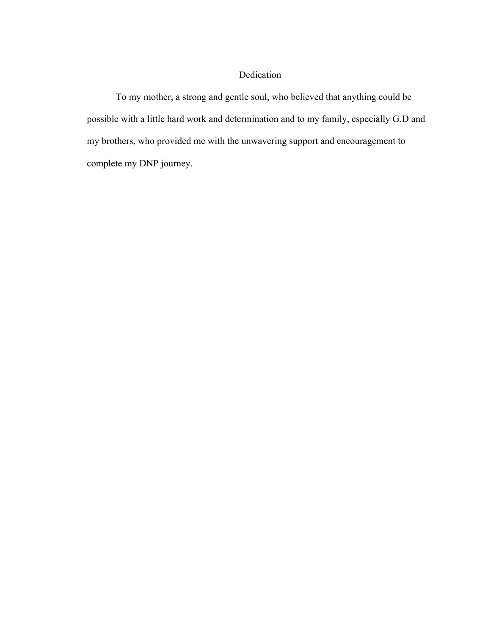### Dedication

To my mother, a strong and gentle soul, who believed that anything could be possible with a little hard work and determination and to my family, especially G.D and my brothers, who provided me with the unwavering support and encouragement to complete my DNP journey.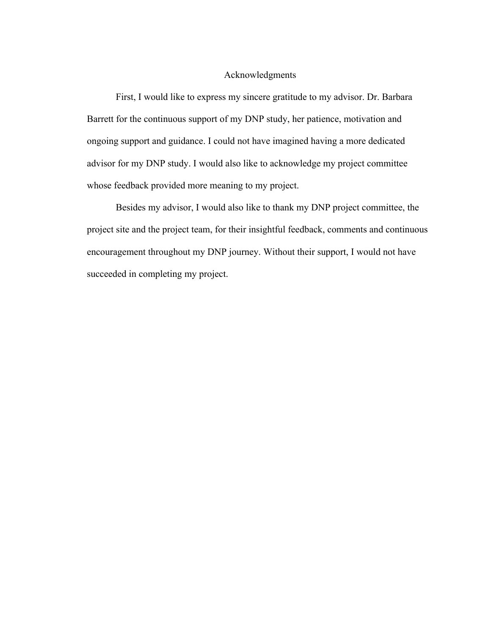#### Acknowledgments

First, I would like to express my sincere gratitude to my advisor. Dr. Barbara Barrett for the continuous support of my DNP study, her patience, motivation and ongoing support and guidance. I could not have imagined having a more dedicated advisor for my DNP study. I would also like to acknowledge my project committee whose feedback provided more meaning to my project.

Besides my advisor, I would also like to thank my DNP project committee, the project site and the project team, for their insightful feedback, comments and continuous encouragement throughout my DNP journey. Without their support, I would not have succeeded in completing my project.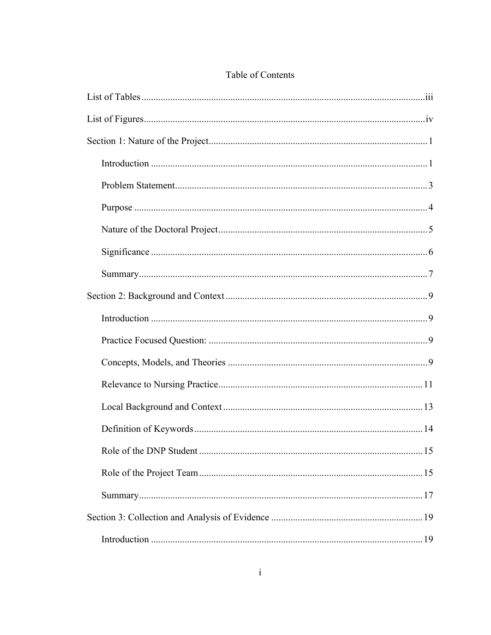### Table of Contents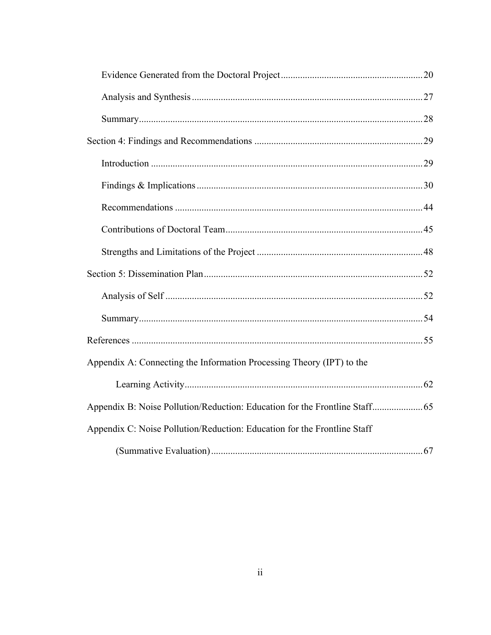| Appendix A: Connecting the Information Processing Theory (IPT) to the    |  |
|--------------------------------------------------------------------------|--|
|                                                                          |  |
|                                                                          |  |
| Appendix C: Noise Pollution/Reduction: Education for the Frontline Staff |  |
|                                                                          |  |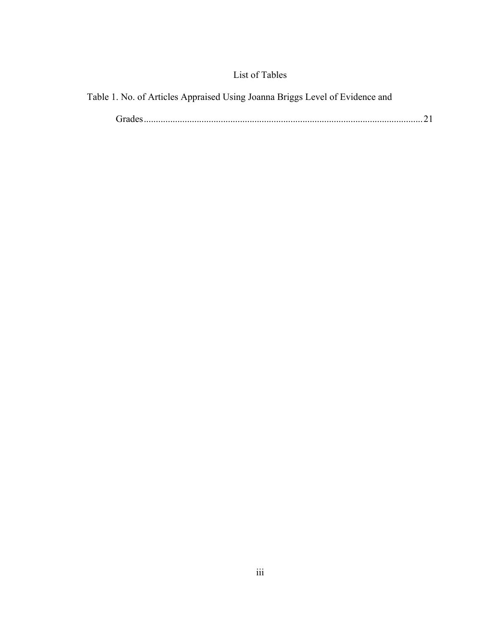## List of Tables

|  |  |  |  | Table 1. No. of Articles Appraised Using Joanna Briggs Level of Evidence and |  |
|--|--|--|--|------------------------------------------------------------------------------|--|
|  |  |  |  |                                                                              |  |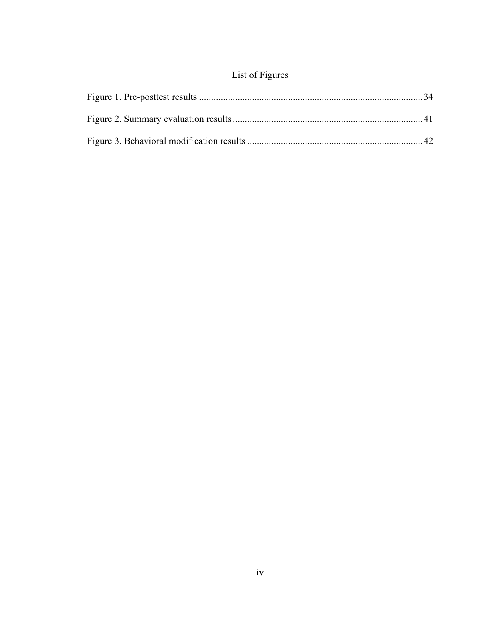## List of Figures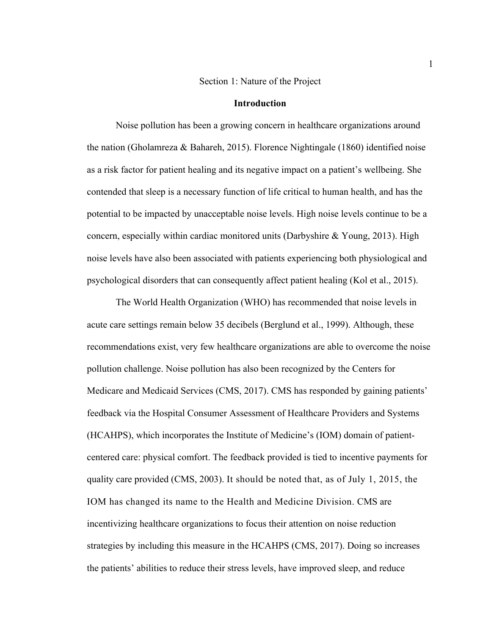#### Section 1: Nature of the Project

#### **Introduction**

Noise pollution has been a growing concern in healthcare organizations around the nation (Gholamreza & Bahareh, 2015). Florence Nightingale (1860) identified noise as a risk factor for patient healing and its negative impact on a patient's wellbeing. She contended that sleep is a necessary function of life critical to human health, and has the potential to be impacted by unacceptable noise levels. High noise levels continue to be a concern, especially within cardiac monitored units (Darbyshire  $\&$  Young, 2013). High noise levels have also been associated with patients experiencing both physiological and psychological disorders that can consequently affect patient healing (Kol et al., 2015).

The World Health Organization (WHO) has recommended that noise levels in acute care settings remain below 35 decibels (Berglund et al., 1999). Although, these recommendations exist, very few healthcare organizations are able to overcome the noise pollution challenge. Noise pollution has also been recognized by the Centers for Medicare and Medicaid Services (CMS, 2017). CMS has responded by gaining patients' feedback via the Hospital Consumer Assessment of Healthcare Providers and Systems (HCAHPS), which incorporates the Institute of Medicine's (IOM) domain of patientcentered care: physical comfort. The feedback provided is tied to incentive payments for quality care provided (CMS, 2003). It should be noted that, as of July 1, 2015, the IOM has changed its name to the Health and Medicine Division. CMS are incentivizing healthcare organizations to focus their attention on noise reduction strategies by including this measure in the HCAHPS (CMS, 2017). Doing so increases the patients' abilities to reduce their stress levels, have improved sleep, and reduce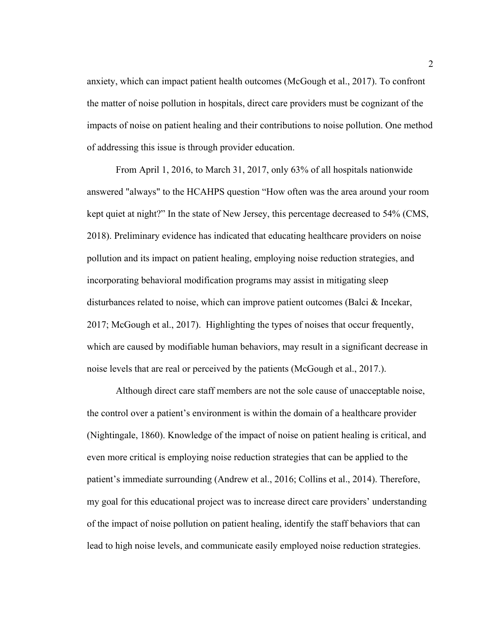anxiety, which can impact patient health outcomes (McGough et al., 2017). To confront the matter of noise pollution in hospitals, direct care providers must be cognizant of the impacts of noise on patient healing and their contributions to noise pollution. One method of addressing this issue is through provider education.

From April 1, 2016, to March 31, 2017, only 63% of all hospitals nationwide answered "always" to the HCAHPS question "How often was the area around your room kept quiet at night?" In the state of New Jersey, this percentage decreased to 54% (CMS, 2018). Preliminary evidence has indicated that educating healthcare providers on noise pollution and its impact on patient healing, employing noise reduction strategies, and incorporating behavioral modification programs may assist in mitigating sleep disturbances related to noise, which can improve patient outcomes (Balci & Incekar, 2017; McGough et al., 2017). Highlighting the types of noises that occur frequently, which are caused by modifiable human behaviors, may result in a significant decrease in noise levels that are real or perceived by the patients (McGough et al., 2017.).

Although direct care staff members are not the sole cause of unacceptable noise, the control over a patient's environment is within the domain of a healthcare provider (Nightingale, 1860). Knowledge of the impact of noise on patient healing is critical, and even more critical is employing noise reduction strategies that can be applied to the patient's immediate surrounding (Andrew et al., 2016; Collins et al., 2014). Therefore, my goal for this educational project was to increase direct care providers' understanding of the impact of noise pollution on patient healing, identify the staff behaviors that can lead to high noise levels, and communicate easily employed noise reduction strategies.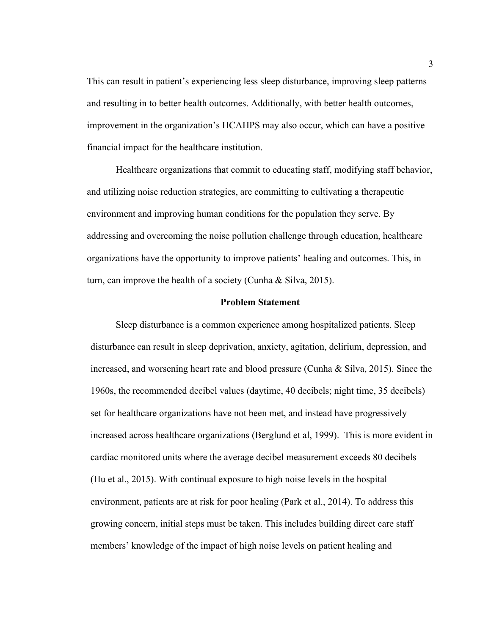This can result in patient's experiencing less sleep disturbance, improving sleep patterns and resulting in to better health outcomes. Additionally, with better health outcomes, improvement in the organization's HCAHPS may also occur, which can have a positive financial impact for the healthcare institution.

Healthcare organizations that commit to educating staff, modifying staff behavior, and utilizing noise reduction strategies, are committing to cultivating a therapeutic environment and improving human conditions for the population they serve. By addressing and overcoming the noise pollution challenge through education, healthcare organizations have the opportunity to improve patients' healing and outcomes. This, in turn, can improve the health of a society (Cunha & Silva, 2015).

#### **Problem Statement**

Sleep disturbance is a common experience among hospitalized patients. Sleep disturbance can result in sleep deprivation, anxiety, agitation, delirium, depression, and increased, and worsening heart rate and blood pressure (Cunha & Silva, 2015). Since the 1960s, the recommended decibel values (daytime, 40 decibels; night time, 35 decibels) set for healthcare organizations have not been met, and instead have progressively increased across healthcare organizations (Berglund et al, 1999). This is more evident in cardiac monitored units where the average decibel measurement exceeds 80 decibels (Hu et al., 2015). With continual exposure to high noise levels in the hospital environment, patients are at risk for poor healing (Park et al., 2014). To address this growing concern, initial steps must be taken. This includes building direct care staff members' knowledge of the impact of high noise levels on patient healing and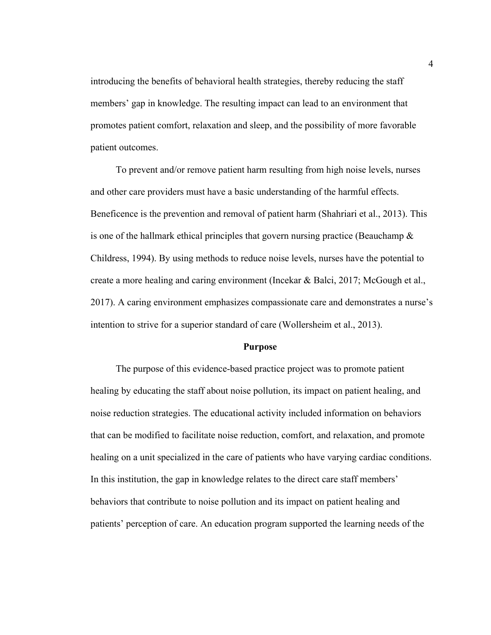introducing the benefits of behavioral health strategies, thereby reducing the staff members' gap in knowledge. The resulting impact can lead to an environment that promotes patient comfort, relaxation and sleep, and the possibility of more favorable patient outcomes.

To prevent and/or remove patient harm resulting from high noise levels, nurses and other care providers must have a basic understanding of the harmful effects. Beneficence is the prevention and removal of patient harm (Shahriari et al., 2013). This is one of the hallmark ethical principles that govern nursing practice (Beauchamp  $\&$ Childress, 1994). By using methods to reduce noise levels, nurses have the potential to create a more healing and caring environment (Incekar & Balci, 2017; McGough et al., 2017). A caring environment emphasizes compassionate care and demonstrates a nurse's intention to strive for a superior standard of care (Wollersheim et al., 2013).

#### **Purpose**

The purpose of this evidence-based practice project was to promote patient healing by educating the staff about noise pollution, its impact on patient healing, and noise reduction strategies. The educational activity included information on behaviors that can be modified to facilitate noise reduction, comfort, and relaxation, and promote healing on a unit specialized in the care of patients who have varying cardiac conditions. In this institution, the gap in knowledge relates to the direct care staff members' behaviors that contribute to noise pollution and its impact on patient healing and patients' perception of care. An education program supported the learning needs of the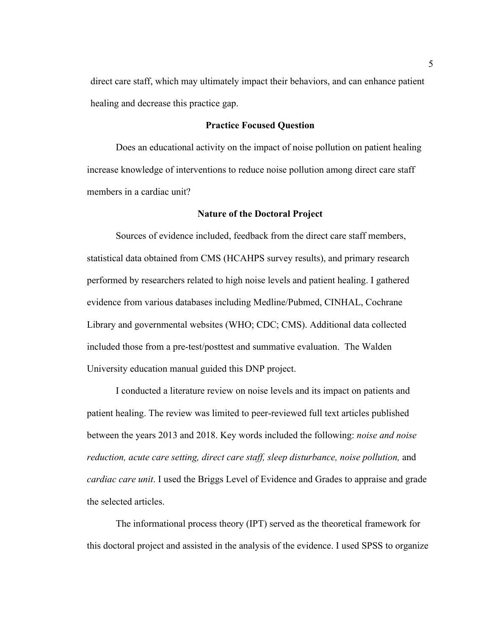direct care staff, which may ultimately impact their behaviors, and can enhance patient healing and decrease this practice gap.

#### **Practice Focused Question**

Does an educational activity on the impact of noise pollution on patient healing increase knowledge of interventions to reduce noise pollution among direct care staff members in a cardiac unit?

#### **Nature of the Doctoral Project**

Sources of evidence included, feedback from the direct care staff members, statistical data obtained from CMS (HCAHPS survey results), and primary research performed by researchers related to high noise levels and patient healing. I gathered evidence from various databases including Medline/Pubmed, CINHAL, Cochrane Library and governmental websites (WHO; CDC; CMS). Additional data collected included those from a pre-test/posttest and summative evaluation. The Walden University education manual guided this DNP project.

I conducted a literature review on noise levels and its impact on patients and patient healing. The review was limited to peer-reviewed full text articles published between the years 2013 and 2018. Key words included the following: *noise and noise reduction, acute care setting, direct care staff, sleep disturbance, noise pollution,* and *cardiac care unit*. I used the Briggs Level of Evidence and Grades to appraise and grade the selected articles.

The informational process theory (IPT) served as the theoretical framework for this doctoral project and assisted in the analysis of the evidence. I used SPSS to organize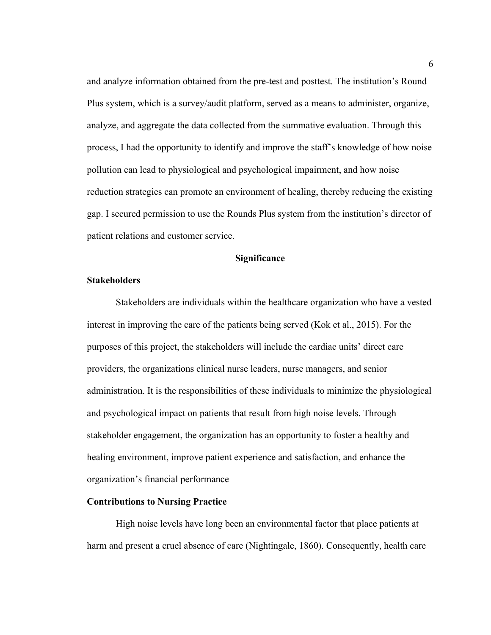and analyze information obtained from the pre-test and posttest. The institution's Round Plus system, which is a survey/audit platform, served as a means to administer, organize, analyze, and aggregate the data collected from the summative evaluation. Through this process, I had the opportunity to identify and improve the staff's knowledge of how noise pollution can lead to physiological and psychological impairment, and how noise reduction strategies can promote an environment of healing, thereby reducing the existing gap. I secured permission to use the Rounds Plus system from the institution's director of patient relations and customer service.

#### **Significance**

#### **Stakeholders**

Stakeholders are individuals within the healthcare organization who have a vested interest in improving the care of the patients being served (Kok et al., 2015). For the purposes of this project, the stakeholders will include the cardiac units' direct care providers, the organizations clinical nurse leaders, nurse managers, and senior administration. It is the responsibilities of these individuals to minimize the physiological and psychological impact on patients that result from high noise levels. Through stakeholder engagement, the organization has an opportunity to foster a healthy and healing environment, improve patient experience and satisfaction, and enhance the organization's financial performance

#### **Contributions to Nursing Practice**

High noise levels have long been an environmental factor that place patients at harm and present a cruel absence of care (Nightingale, 1860). Consequently, health care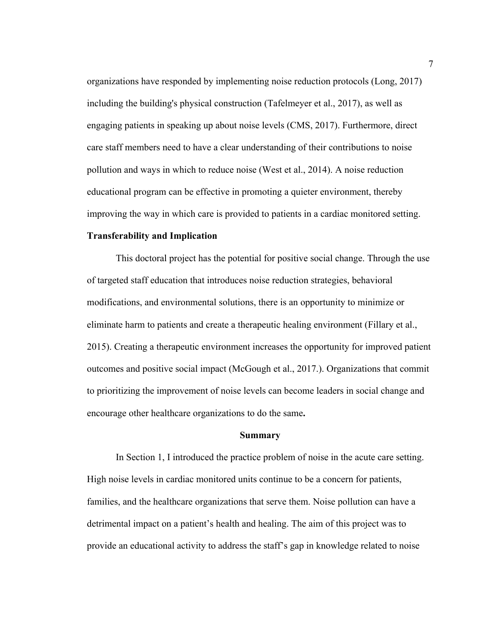organizations have responded by implementing noise reduction protocols (Long, 2017) including the building's physical construction (Tafelmeyer et al., 2017), as well as engaging patients in speaking up about noise levels (CMS, 2017). Furthermore, direct care staff members need to have a clear understanding of their contributions to noise pollution and ways in which to reduce noise (West et al., 2014). A noise reduction educational program can be effective in promoting a quieter environment, thereby improving the way in which care is provided to patients in a cardiac monitored setting.

#### **Transferability and Implication**

This doctoral project has the potential for positive social change. Through the use of targeted staff education that introduces noise reduction strategies, behavioral modifications, and environmental solutions, there is an opportunity to minimize or eliminate harm to patients and create a therapeutic healing environment (Fillary et al., 2015). Creating a therapeutic environment increases the opportunity for improved patient outcomes and positive social impact (McGough et al., 2017.). Organizations that commit to prioritizing the improvement of noise levels can become leaders in social change and encourage other healthcare organizations to do the same**.**

#### **Summary**

In Section 1, I introduced the practice problem of noise in the acute care setting. High noise levels in cardiac monitored units continue to be a concern for patients, families, and the healthcare organizations that serve them. Noise pollution can have a detrimental impact on a patient's health and healing. The aim of this project was to provide an educational activity to address the staff's gap in knowledge related to noise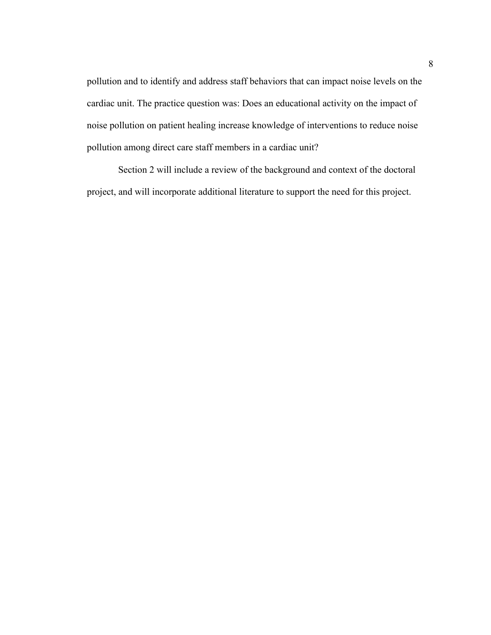pollution and to identify and address staff behaviors that can impact noise levels on the cardiac unit. The practice question was: Does an educational activity on the impact of noise pollution on patient healing increase knowledge of interventions to reduce noise pollution among direct care staff members in a cardiac unit?

Section 2 will include a review of the background and context of the doctoral project, and will incorporate additional literature to support the need for this project.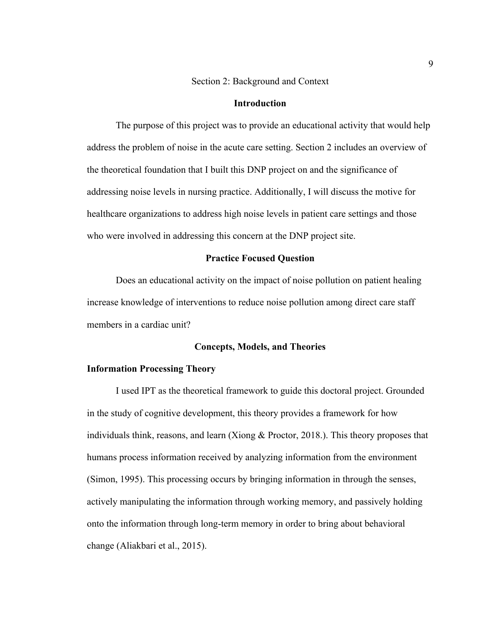#### Section 2: Background and Context

#### **Introduction**

The purpose of this project was to provide an educational activity that would help address the problem of noise in the acute care setting. Section 2 includes an overview of the theoretical foundation that I built this DNP project on and the significance of addressing noise levels in nursing practice. Additionally, I will discuss the motive for healthcare organizations to address high noise levels in patient care settings and those who were involved in addressing this concern at the DNP project site.

#### **Practice Focused Question**

Does an educational activity on the impact of noise pollution on patient healing increase knowledge of interventions to reduce noise pollution among direct care staff members in a cardiac unit?

#### **Concepts, Models, and Theories**

#### **Information Processing Theory**

I used IPT as the theoretical framework to guide this doctoral project. Grounded in the study of cognitive development, this theory provides a framework for how individuals think, reasons, and learn (Xiong & Proctor, 2018.). This theory proposes that humans process information received by analyzing information from the environment (Simon, 1995). This processing occurs by bringing information in through the senses, actively manipulating the information through working memory, and passively holding onto the information through long-term memory in order to bring about behavioral change (Aliakbari et al., 2015).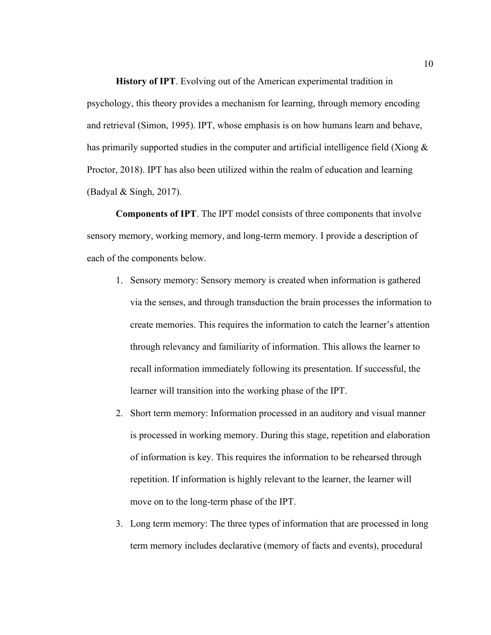**History of IPT**. Evolving out of the American experimental tradition in psychology, this theory provides a mechanism for learning, through memory encoding and retrieval (Simon, 1995). IPT, whose emphasis is on how humans learn and behave, has primarily supported studies in the computer and artificial intelligence field (Xiong  $\&$ Proctor, 2018). IPT has also been utilized within the realm of education and learning (Badyal & Singh, 2017).

**Components of IPT**. The IPT model consists of three components that involve sensory memory, working memory, and long-term memory. I provide a description of each of the components below.

- 1. Sensory memory: Sensory memory is created when information is gathered via the senses, and through transduction the brain processes the information to create memories. This requires the information to catch the learner's attention through relevancy and familiarity of information. This allows the learner to recall information immediately following its presentation. If successful, the learner will transition into the working phase of the IPT.
- 2. Short term memory: Information processed in an auditory and visual manner is processed in working memory. During this stage, repetition and elaboration of information is key. This requires the information to be rehearsed through repetition. If information is highly relevant to the learner, the learner will move on to the long-term phase of the IPT.
- 3. Long term memory: The three types of information that are processed in long term memory includes declarative (memory of facts and events), procedural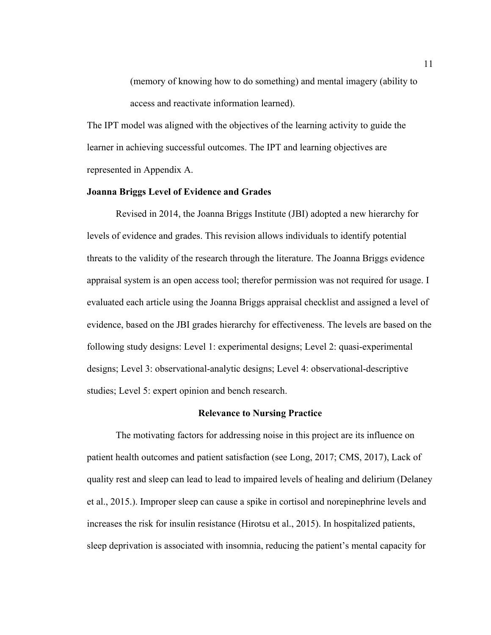(memory of knowing how to do something) and mental imagery (ability to access and reactivate information learned).

The IPT model was aligned with the objectives of the learning activity to guide the learner in achieving successful outcomes. The IPT and learning objectives are represented in Appendix A.

#### **Joanna Briggs Level of Evidence and Grades**

Revised in 2014, the Joanna Briggs Institute (JBI) adopted a new hierarchy for levels of evidence and grades. This revision allows individuals to identify potential threats to the validity of the research through the literature. The Joanna Briggs evidence appraisal system is an open access tool; therefor permission was not required for usage. I evaluated each article using the Joanna Briggs appraisal checklist and assigned a level of evidence, based on the JBI grades hierarchy for effectiveness. The levels are based on the following study designs: Level 1: experimental designs; Level 2: quasi-experimental designs; Level 3: observational-analytic designs; Level 4: observational-descriptive studies; Level 5: expert opinion and bench research.

#### **Relevance to Nursing Practice**

The motivating factors for addressing noise in this project are its influence on patient health outcomes and patient satisfaction (see Long, 2017; CMS, 2017), Lack of quality rest and sleep can lead to lead to impaired levels of healing and delirium (Delaney et al., 2015.). Improper sleep can cause a spike in cortisol and norepinephrine levels and increases the risk for insulin resistance (Hirotsu et al., 2015). In hospitalized patients, sleep deprivation is associated with insomnia, reducing the patient's mental capacity for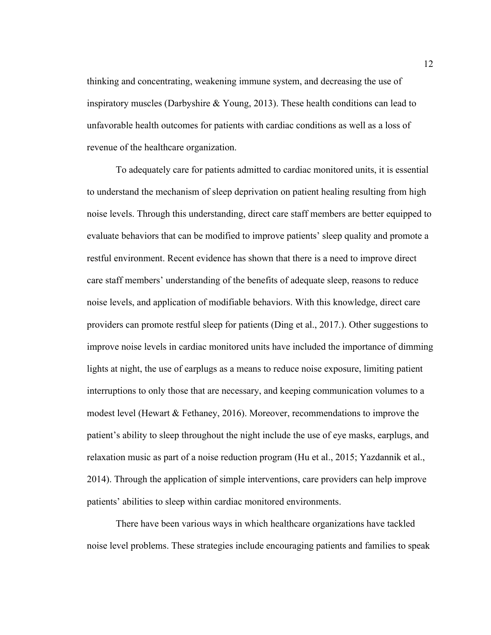thinking and concentrating, weakening immune system, and decreasing the use of inspiratory muscles (Darbyshire  $\& Young, 2013$ ). These health conditions can lead to unfavorable health outcomes for patients with cardiac conditions as well as a loss of revenue of the healthcare organization.

To adequately care for patients admitted to cardiac monitored units, it is essential to understand the mechanism of sleep deprivation on patient healing resulting from high noise levels. Through this understanding, direct care staff members are better equipped to evaluate behaviors that can be modified to improve patients' sleep quality and promote a restful environment. Recent evidence has shown that there is a need to improve direct care staff members' understanding of the benefits of adequate sleep, reasons to reduce noise levels, and application of modifiable behaviors. With this knowledge, direct care providers can promote restful sleep for patients (Ding et al., 2017.). Other suggestions to improve noise levels in cardiac monitored units have included the importance of dimming lights at night, the use of earplugs as a means to reduce noise exposure, limiting patient interruptions to only those that are necessary, and keeping communication volumes to a modest level (Hewart  $\&$  Fethaney, 2016). Moreover, recommendations to improve the patient's ability to sleep throughout the night include the use of eye masks, earplugs, and relaxation music as part of a noise reduction program (Hu et al., 2015; Yazdannik et al., 2014). Through the application of simple interventions, care providers can help improve patients' abilities to sleep within cardiac monitored environments.

There have been various ways in which healthcare organizations have tackled noise level problems. These strategies include encouraging patients and families to speak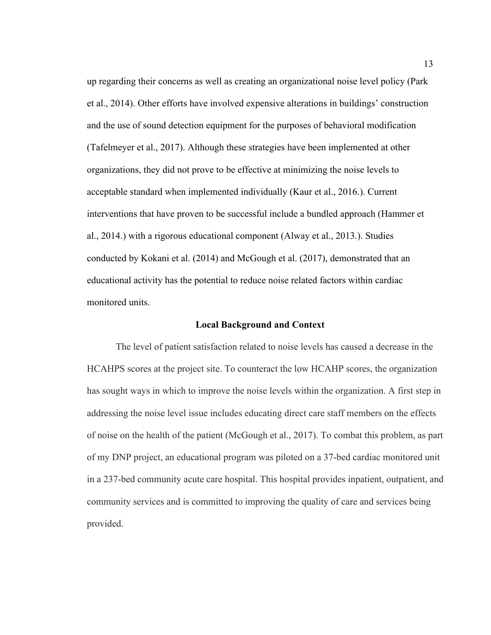up regarding their concerns as well as creating an organizational noise level policy (Park et al., 2014). Other efforts have involved expensive alterations in buildings' construction and the use of sound detection equipment for the purposes of behavioral modification (Tafelmeyer et al., 2017). Although these strategies have been implemented at other organizations, they did not prove to be effective at minimizing the noise levels to acceptable standard when implemented individually (Kaur et al., 2016.). Current interventions that have proven to be successful include a bundled approach (Hammer et al., 2014.) with a rigorous educational component (Alway et al., 2013.). Studies conducted by Kokani et al. (2014) and McGough et al. (2017), demonstrated that an educational activity has the potential to reduce noise related factors within cardiac monitored units.

#### **Local Background and Context**

The level of patient satisfaction related to noise levels has caused a decrease in the HCAHPS scores at the project site. To counteract the low HCAHP scores, the organization has sought ways in which to improve the noise levels within the organization. A first step in addressing the noise level issue includes educating direct care staff members on the effects of noise on the health of the patient (McGough et al., 2017). To combat this problem, as part of my DNP project, an educational program was piloted on a 37-bed cardiac monitored unit in a 237-bed community acute care hospital. This hospital provides inpatient, outpatient, and community services and is committed to improving the quality of care and services being provided.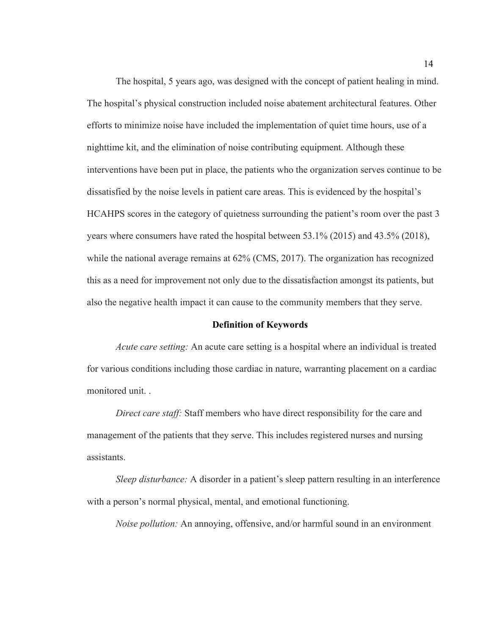The hospital, 5 years ago, was designed with the concept of patient healing in mind. The hospital's physical construction included noise abatement architectural features. Other efforts to minimize noise have included the implementation of quiet time hours, use of a nighttime kit, and the elimination of noise contributing equipment. Although these interventions have been put in place, the patients who the organization serves continue to be dissatisfied by the noise levels in patient care areas. This is evidenced by the hospital's HCAHPS scores in the category of quietness surrounding the patient's room over the past 3 years where consumers have rated the hospital between 53.1% (2015) and 43.5% (2018), while the national average remains at  $62\%$  (CMS, 2017). The organization has recognized this as a need for improvement not only due to the dissatisfaction amongst its patients, but also the negative health impact it can cause to the community members that they serve.

#### **Definition of Keywords**

*Acute care setting:* An acute care setting is a hospital where an individual is treated for various conditions including those cardiac in nature, warranting placement on a cardiac monitored unit. .

*Direct care staff:* Staff members who have direct responsibility for the care and management of the patients that they serve. This includes registered nurses and nursing assistants.

*Sleep disturbance:* A disorder in a patient's sleep pattern resulting in an interference with a person's normal physical, mental, and emotional functioning.

*Noise pollution:* An annoying, offensive, and/or harmful sound in an environment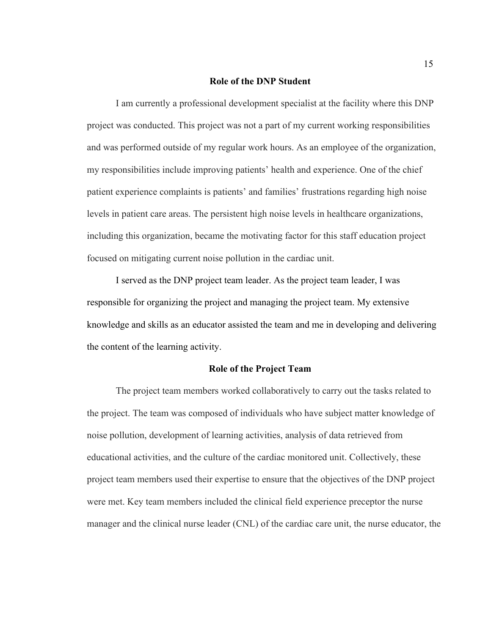#### **Role of the DNP Student**

I am currently a professional development specialist at the facility where this DNP project was conducted. This project was not a part of my current working responsibilities and was performed outside of my regular work hours. As an employee of the organization, my responsibilities include improving patients' health and experience. One of the chief patient experience complaints is patients' and families' frustrations regarding high noise levels in patient care areas. The persistent high noise levels in healthcare organizations, including this organization, became the motivating factor for this staff education project focused on mitigating current noise pollution in the cardiac unit.

I served as the DNP project team leader. As the project team leader, I was responsible for organizing the project and managing the project team. My extensive knowledge and skills as an educator assisted the team and me in developing and delivering the content of the learning activity.

#### **Role of the Project Team**

The project team members worked collaboratively to carry out the tasks related to the project. The team was composed of individuals who have subject matter knowledge of noise pollution, development of learning activities, analysis of data retrieved from educational activities, and the culture of the cardiac monitored unit. Collectively, these project team members used their expertise to ensure that the objectives of the DNP project were met. Key team members included the clinical field experience preceptor the nurse manager and the clinical nurse leader (CNL) of the cardiac care unit, the nurse educator, the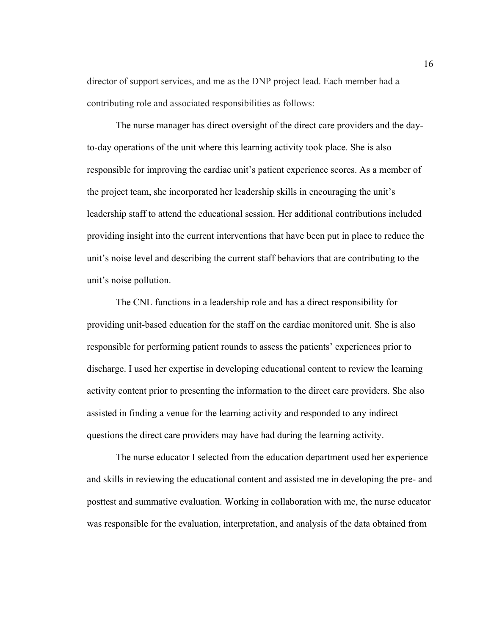director of support services, and me as the DNP project lead. Each member had a contributing role and associated responsibilities as follows:

The nurse manager has direct oversight of the direct care providers and the dayto-day operations of the unit where this learning activity took place. She is also responsible for improving the cardiac unit's patient experience scores. As a member of the project team, she incorporated her leadership skills in encouraging the unit's leadership staff to attend the educational session. Her additional contributions included providing insight into the current interventions that have been put in place to reduce the unit's noise level and describing the current staff behaviors that are contributing to the unit's noise pollution.

The CNL functions in a leadership role and has a direct responsibility for providing unit-based education for the staff on the cardiac monitored unit. She is also responsible for performing patient rounds to assess the patients' experiences prior to discharge. I used her expertise in developing educational content to review the learning activity content prior to presenting the information to the direct care providers. She also assisted in finding a venue for the learning activity and responded to any indirect questions the direct care providers may have had during the learning activity.

The nurse educator I selected from the education department used her experience and skills in reviewing the educational content and assisted me in developing the pre- and posttest and summative evaluation. Working in collaboration with me, the nurse educator was responsible for the evaluation, interpretation, and analysis of the data obtained from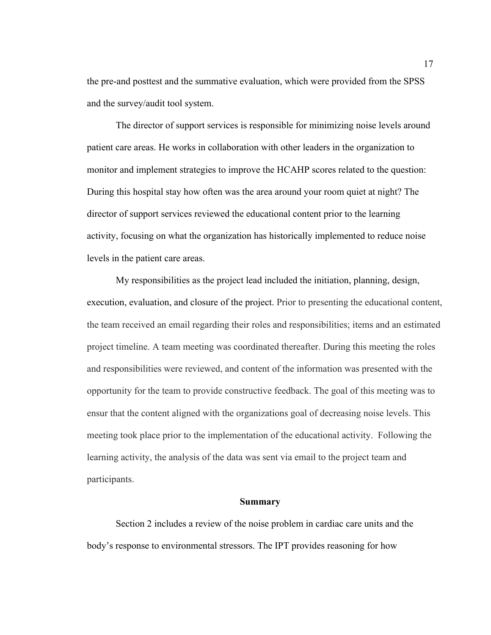the pre-and posttest and the summative evaluation, which were provided from the SPSS and the survey/audit tool system.

The director of support services is responsible for minimizing noise levels around patient care areas. He works in collaboration with other leaders in the organization to monitor and implement strategies to improve the HCAHP scores related to the question: During this hospital stay how often was the area around your room quiet at night? The director of support services reviewed the educational content prior to the learning activity, focusing on what the organization has historically implemented to reduce noise levels in the patient care areas.

My responsibilities as the project lead included the initiation, planning, design, execution, evaluation, and closure of the project. Prior to presenting the educational content, the team received an email regarding their roles and responsibilities; items and an estimated project timeline. A team meeting was coordinated thereafter. During this meeting the roles and responsibilities were reviewed, and content of the information was presented with the opportunity for the team to provide constructive feedback. The goal of this meeting was to ensur that the content aligned with the organizations goal of decreasing noise levels. This meeting took place prior to the implementation of the educational activity. Following the learning activity, the analysis of the data was sent via email to the project team and participants.

#### **Summary**

Section 2 includes a review of the noise problem in cardiac care units and the body's response to environmental stressors. The IPT provides reasoning for how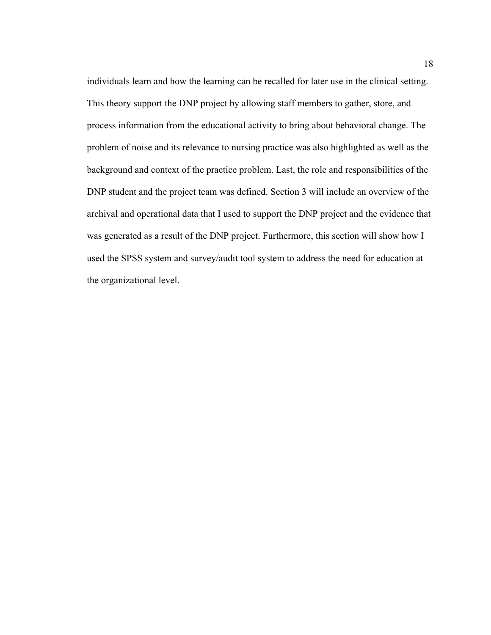individuals learn and how the learning can be recalled for later use in the clinical setting. This theory support the DNP project by allowing staff members to gather, store, and process information from the educational activity to bring about behavioral change. The problem of noise and its relevance to nursing practice was also highlighted as well as the background and context of the practice problem. Last, the role and responsibilities of the DNP student and the project team was defined. Section 3 will include an overview of the archival and operational data that I used to support the DNP project and the evidence that was generated as a result of the DNP project. Furthermore, this section will show how I used the SPSS system and survey/audit tool system to address the need for education at the organizational level.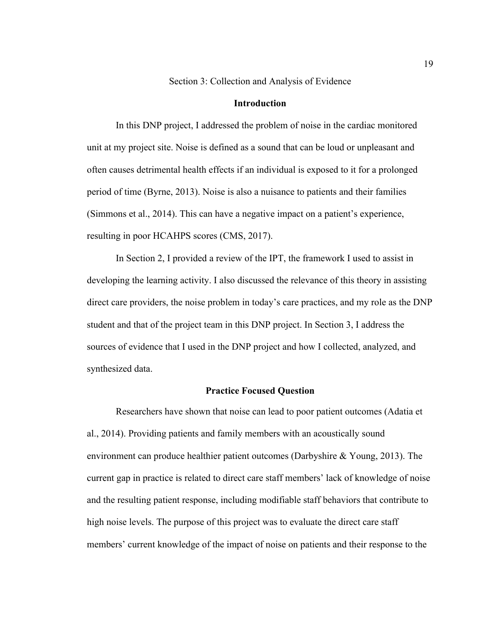Section 3: Collection and Analysis of Evidence

#### **Introduction**

In this DNP project, I addressed the problem of noise in the cardiac monitored unit at my project site. Noise is defined as a sound that can be loud or unpleasant and often causes detrimental health effects if an individual is exposed to it for a prolonged period of time (Byrne, 2013). Noise is also a nuisance to patients and their families (Simmons et al., 2014). This can have a negative impact on a patient's experience, resulting in poor HCAHPS scores (CMS, 2017).

In Section 2, I provided a review of the IPT, the framework I used to assist in developing the learning activity. I also discussed the relevance of this theory in assisting direct care providers, the noise problem in today's care practices, and my role as the DNP student and that of the project team in this DNP project. In Section 3, I address the sources of evidence that I used in the DNP project and how I collected, analyzed, and synthesized data.

#### **Practice Focused Question**

Researchers have shown that noise can lead to poor patient outcomes (Adatia et al., 2014). Providing patients and family members with an acoustically sound environment can produce healthier patient outcomes (Darbyshire & Young, 2013). The current gap in practice is related to direct care staff members' lack of knowledge of noise and the resulting patient response, including modifiable staff behaviors that contribute to high noise levels. The purpose of this project was to evaluate the direct care staff members' current knowledge of the impact of noise on patients and their response to the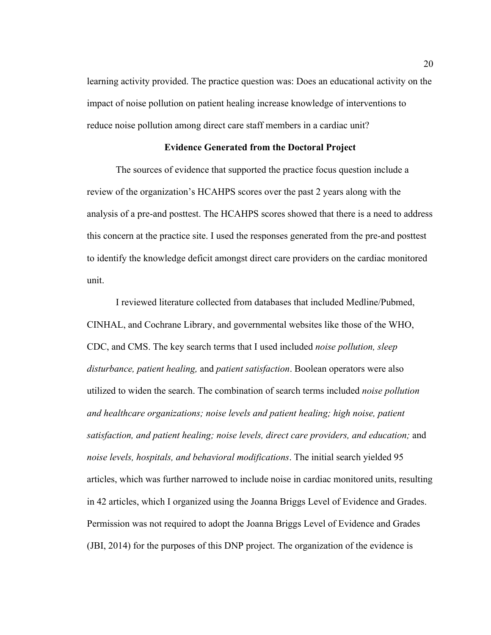learning activity provided. The practice question was: Does an educational activity on the impact of noise pollution on patient healing increase knowledge of interventions to reduce noise pollution among direct care staff members in a cardiac unit?

#### **Evidence Generated from the Doctoral Project**

The sources of evidence that supported the practice focus question include a review of the organization's HCAHPS scores over the past 2 years along with the analysis of a pre-and posttest. The HCAHPS scores showed that there is a need to address this concern at the practice site. I used the responses generated from the pre-and posttest to identify the knowledge deficit amongst direct care providers on the cardiac monitored unit.

I reviewed literature collected from databases that included Medline/Pubmed, CINHAL, and Cochrane Library, and governmental websites like those of the WHO, CDC, and CMS. The key search terms that I used included *noise pollution, sleep disturbance, patient healing,* and *patient satisfaction*. Boolean operators were also utilized to widen the search. The combination of search terms included *noise pollution and healthcare organizations; noise levels and patient healing; high noise, patient satisfaction, and patient healing; noise levels, direct care providers, and education;* and *noise levels, hospitals, and behavioral modifications*. The initial search yielded 95 articles, which was further narrowed to include noise in cardiac monitored units, resulting in 42 articles, which I organized using the Joanna Briggs Level of Evidence and Grades. Permission was not required to adopt the Joanna Briggs Level of Evidence and Grades (JBI, 2014) for the purposes of this DNP project. The organization of the evidence is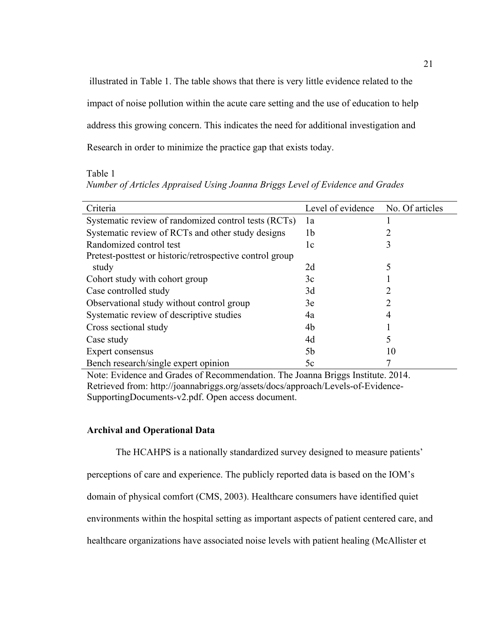illustrated in Table 1. The table shows that there is very little evidence related to the impact of noise pollution within the acute care setting and the use of education to help address this growing concern. This indicates the need for additional investigation and Research in order to minimize the practice gap that exists today.

Table 1

*Number of Articles Appraised Using Joanna Briggs Level of Evidence and Grades* 

| Criteria                                                 | Level of evidence | No. Of articles |
|----------------------------------------------------------|-------------------|-----------------|
| Systematic review of randomized control tests (RCTs)     | 1a                |                 |
| Systematic review of RCTs and other study designs        | 1b                |                 |
| Randomized control test                                  | 1c                | 3               |
| Pretest-posttest or historic/retrospective control group |                   |                 |
| study                                                    | 2d                |                 |
| Cohort study with cohort group                           | 3c                |                 |
| Case controlled study                                    | 3d                |                 |
| Observational study without control group                | 3e                |                 |
| Systematic review of descriptive studies                 | 4a                |                 |
| Cross sectional study                                    | 4b                |                 |
| Case study                                               | 4d                |                 |
| Expert consensus                                         | 5b                | 10              |
| Bench research/single expert opinion                     | 5c                |                 |

Note: Evidence and Grades of Recommendation. The Joanna Briggs Institute. 2014. Retrieved from: http://joannabriggs.org/assets/docs/approach/Levels-of-Evidence-SupportingDocuments-v2.pdf. Open access document.

#### **Archival and Operational Data**

The HCAHPS is a nationally standardized survey designed to measure patients'

perceptions of care and experience. The publicly reported data is based on the IOM's

domain of physical comfort (CMS, 2003). Healthcare consumers have identified quiet

environments within the hospital setting as important aspects of patient centered care, and

healthcare organizations have associated noise levels with patient healing (McAllister et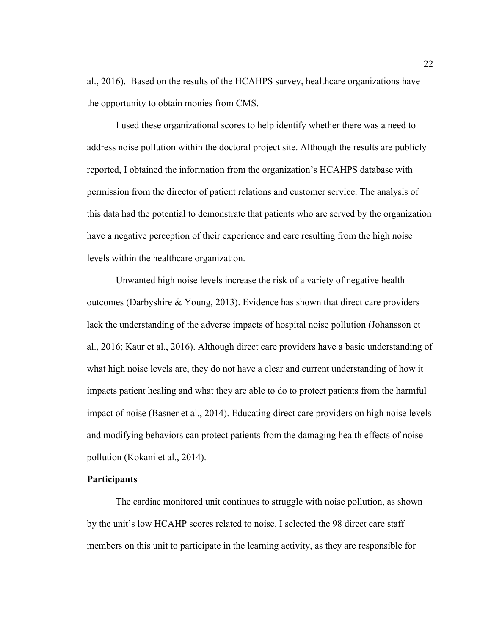al., 2016). Based on the results of the HCAHPS survey, healthcare organizations have the opportunity to obtain monies from CMS.

I used these organizational scores to help identify whether there was a need to address noise pollution within the doctoral project site. Although the results are publicly reported, I obtained the information from the organization's HCAHPS database with permission from the director of patient relations and customer service. The analysis of this data had the potential to demonstrate that patients who are served by the organization have a negative perception of their experience and care resulting from the high noise levels within the healthcare organization.

Unwanted high noise levels increase the risk of a variety of negative health outcomes (Darbyshire & Young, 2013). Evidence has shown that direct care providers lack the understanding of the adverse impacts of hospital noise pollution (Johansson et al., 2016; Kaur et al., 2016). Although direct care providers have a basic understanding of what high noise levels are, they do not have a clear and current understanding of how it impacts patient healing and what they are able to do to protect patients from the harmful impact of noise (Basner et al., 2014). Educating direct care providers on high noise levels and modifying behaviors can protect patients from the damaging health effects of noise pollution (Kokani et al., 2014).

#### **Participants**

The cardiac monitored unit continues to struggle with noise pollution, as shown by the unit's low HCAHP scores related to noise. I selected the 98 direct care staff members on this unit to participate in the learning activity, as they are responsible for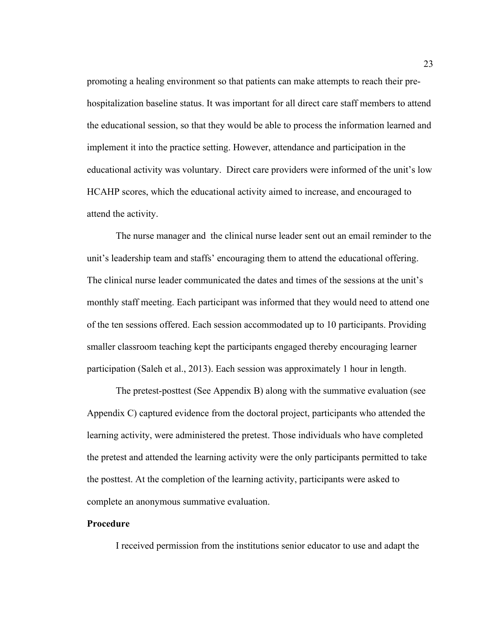promoting a healing environment so that patients can make attempts to reach their prehospitalization baseline status. It was important for all direct care staff members to attend the educational session, so that they would be able to process the information learned and implement it into the practice setting. However, attendance and participation in the educational activity was voluntary. Direct care providers were informed of the unit's low HCAHP scores, which the educational activity aimed to increase, and encouraged to attend the activity.

The nurse manager and the clinical nurse leader sent out an email reminder to the unit's leadership team and staffs' encouraging them to attend the educational offering. The clinical nurse leader communicated the dates and times of the sessions at the unit's monthly staff meeting. Each participant was informed that they would need to attend one of the ten sessions offered. Each session accommodated up to 10 participants. Providing smaller classroom teaching kept the participants engaged thereby encouraging learner participation (Saleh et al., 2013). Each session was approximately 1 hour in length.

The pretest-posttest (See Appendix B) along with the summative evaluation (see Appendix C) captured evidence from the doctoral project, participants who attended the learning activity, were administered the pretest. Those individuals who have completed the pretest and attended the learning activity were the only participants permitted to take the posttest. At the completion of the learning activity, participants were asked to complete an anonymous summative evaluation.

#### **Procedure**

I received permission from the institutions senior educator to use and adapt the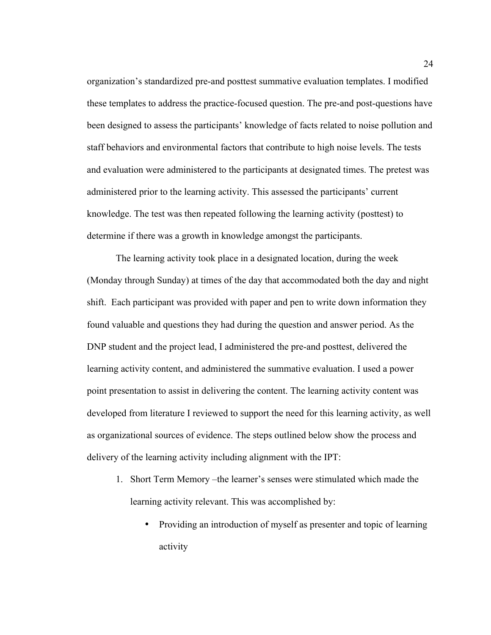organization's standardized pre-and posttest summative evaluation templates. I modified these templates to address the practice-focused question. The pre-and post-questions have been designed to assess the participants' knowledge of facts related to noise pollution and staff behaviors and environmental factors that contribute to high noise levels. The tests and evaluation were administered to the participants at designated times. The pretest was administered prior to the learning activity. This assessed the participants' current knowledge. The test was then repeated following the learning activity (posttest) to determine if there was a growth in knowledge amongst the participants.

The learning activity took place in a designated location, during the week (Monday through Sunday) at times of the day that accommodated both the day and night shift. Each participant was provided with paper and pen to write down information they found valuable and questions they had during the question and answer period. As the DNP student and the project lead, I administered the pre-and posttest, delivered the learning activity content, and administered the summative evaluation. I used a power point presentation to assist in delivering the content. The learning activity content was developed from literature I reviewed to support the need for this learning activity, as well as organizational sources of evidence. The steps outlined below show the process and delivery of the learning activity including alignment with the IPT:

- 1. Short Term Memory –the learner's senses were stimulated which made the learning activity relevant. This was accomplished by:
	- Providing an introduction of myself as presenter and topic of learning activity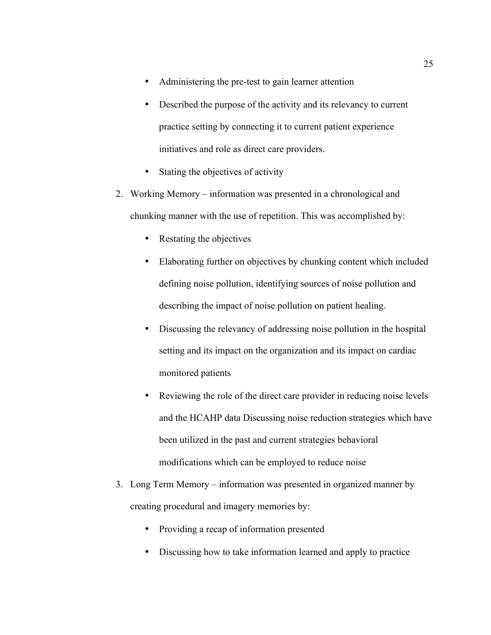- Administering the pre-test to gain learner attention
- Described the purpose of the activity and its relevancy to current practice setting by connecting it to current patient experience initiatives and role as direct care providers.
- Stating the objectives of activity
- 2. Working Memory information was presented in a chronological and chunking manner with the use of repetition. This was accomplished by:
	- Restating the objectives
	- Elaborating further on objectives by chunking content which included defining noise pollution, identifying sources of noise pollution and describing the impact of noise pollution on patient healing.
	- Discussing the relevancy of addressing noise pollution in the hospital setting and its impact on the organization and its impact on cardiac monitored patients
	- Reviewing the role of the direct care provider in reducing noise levels and the HCAHP data Discussing noise reduction strategies which have been utilized in the past and current strategies behavioral modifications which can be employed to reduce noise
- 3. Long Term Memory information was presented in organized manner by creating procedural and imagery memories by:
	- Providing a recap of information presented
	- Discussing how to take information learned and apply to practice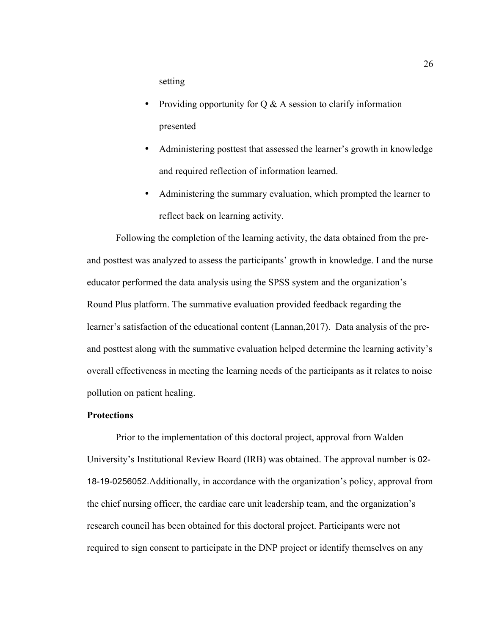setting

- Providing opportunity for  $Q \& A$  session to clarify information presented
- Administering posttest that assessed the learner's growth in knowledge and required reflection of information learned.
- Administering the summary evaluation, which prompted the learner to reflect back on learning activity.

Following the completion of the learning activity, the data obtained from the preand posttest was analyzed to assess the participants' growth in knowledge. I and the nurse educator performed the data analysis using the SPSS system and the organization's Round Plus platform. The summative evaluation provided feedback regarding the learner's satisfaction of the educational content (Lannan,2017). Data analysis of the preand posttest along with the summative evaluation helped determine the learning activity's overall effectiveness in meeting the learning needs of the participants as it relates to noise pollution on patient healing.

# **Protections**

Prior to the implementation of this doctoral project, approval from Walden University's Institutional Review Board (IRB) was obtained. The approval number is 02- 18-19-0256052.Additionally, in accordance with the organization's policy, approval from the chief nursing officer, the cardiac care unit leadership team, and the organization's research council has been obtained for this doctoral project. Participants were not required to sign consent to participate in the DNP project or identify themselves on any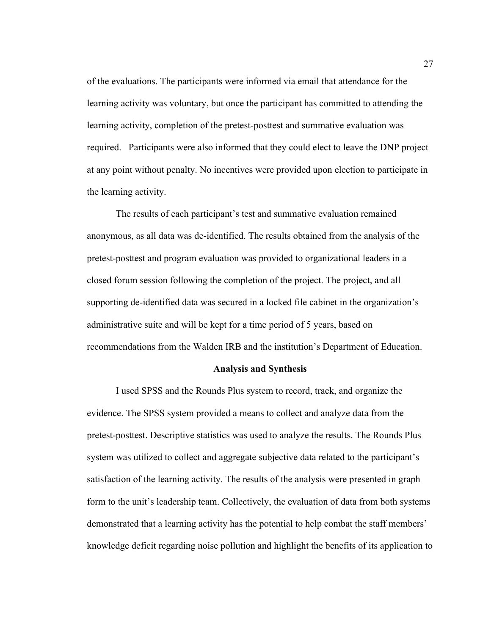of the evaluations. The participants were informed via email that attendance for the learning activity was voluntary, but once the participant has committed to attending the learning activity, completion of the pretest-posttest and summative evaluation was required. Participants were also informed that they could elect to leave the DNP project at any point without penalty. No incentives were provided upon election to participate in the learning activity.

The results of each participant's test and summative evaluation remained anonymous, as all data was de-identified. The results obtained from the analysis of the pretest-posttest and program evaluation was provided to organizational leaders in a closed forum session following the completion of the project. The project, and all supporting de-identified data was secured in a locked file cabinet in the organization's administrative suite and will be kept for a time period of 5 years, based on recommendations from the Walden IRB and the institution's Department of Education.

## **Analysis and Synthesis**

I used SPSS and the Rounds Plus system to record, track, and organize the evidence. The SPSS system provided a means to collect and analyze data from the pretest-posttest. Descriptive statistics was used to analyze the results. The Rounds Plus system was utilized to collect and aggregate subjective data related to the participant's satisfaction of the learning activity. The results of the analysis were presented in graph form to the unit's leadership team. Collectively, the evaluation of data from both systems demonstrated that a learning activity has the potential to help combat the staff members' knowledge deficit regarding noise pollution and highlight the benefits of its application to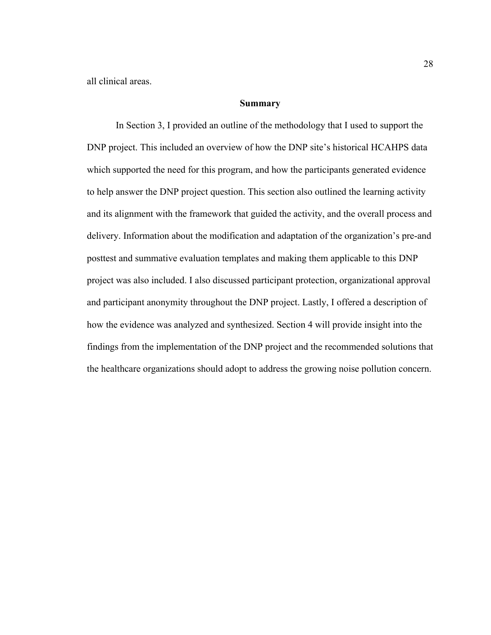all clinical areas.

# **Summary**

In Section 3, I provided an outline of the methodology that I used to support the DNP project. This included an overview of how the DNP site's historical HCAHPS data which supported the need for this program, and how the participants generated evidence to help answer the DNP project question. This section also outlined the learning activity and its alignment with the framework that guided the activity, and the overall process and delivery. Information about the modification and adaptation of the organization's pre-and posttest and summative evaluation templates and making them applicable to this DNP project was also included. I also discussed participant protection, organizational approval and participant anonymity throughout the DNP project. Lastly, I offered a description of how the evidence was analyzed and synthesized. Section 4 will provide insight into the findings from the implementation of the DNP project and the recommended solutions that the healthcare organizations should adopt to address the growing noise pollution concern.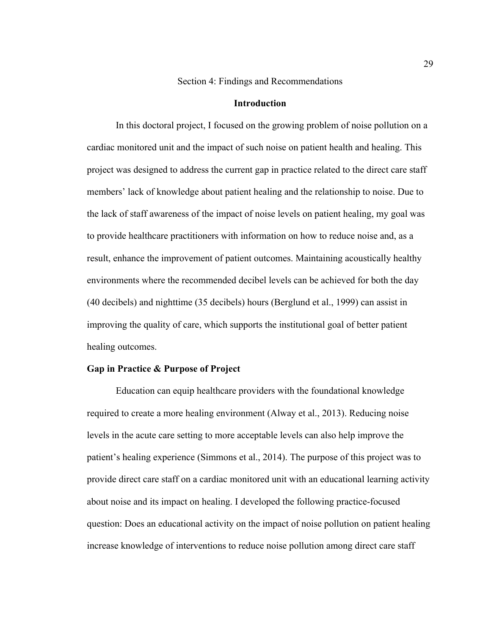Section 4: Findings and Recommendations

# **Introduction**

In this doctoral project, I focused on the growing problem of noise pollution on a cardiac monitored unit and the impact of such noise on patient health and healing. This project was designed to address the current gap in practice related to the direct care staff members' lack of knowledge about patient healing and the relationship to noise. Due to the lack of staff awareness of the impact of noise levels on patient healing, my goal was to provide healthcare practitioners with information on how to reduce noise and, as a result, enhance the improvement of patient outcomes. Maintaining acoustically healthy environments where the recommended decibel levels can be achieved for both the day (40 decibels) and nighttime (35 decibels) hours (Berglund et al., 1999) can assist in improving the quality of care, which supports the institutional goal of better patient healing outcomes.

## **Gap in Practice & Purpose of Project**

Education can equip healthcare providers with the foundational knowledge required to create a more healing environment (Alway et al., 2013). Reducing noise levels in the acute care setting to more acceptable levels can also help improve the patient's healing experience (Simmons et al., 2014). The purpose of this project was to provide direct care staff on a cardiac monitored unit with an educational learning activity about noise and its impact on healing. I developed the following practice-focused question: Does an educational activity on the impact of noise pollution on patient healing increase knowledge of interventions to reduce noise pollution among direct care staff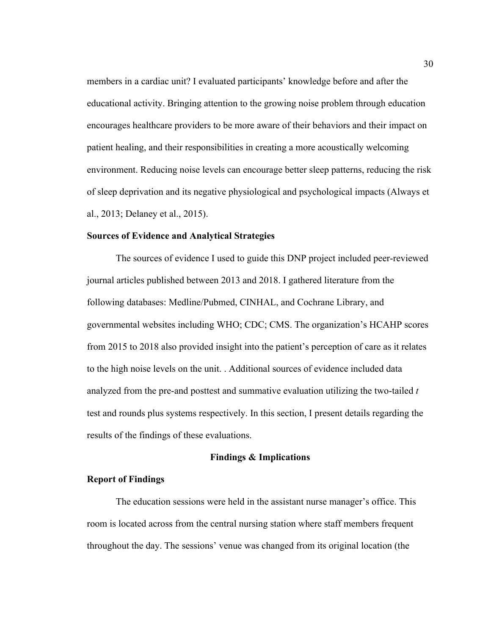members in a cardiac unit? I evaluated participants' knowledge before and after the educational activity. Bringing attention to the growing noise problem through education encourages healthcare providers to be more aware of their behaviors and their impact on patient healing, and their responsibilities in creating a more acoustically welcoming environment. Reducing noise levels can encourage better sleep patterns, reducing the risk of sleep deprivation and its negative physiological and psychological impacts (Always et al., 2013; Delaney et al., 2015).

## **Sources of Evidence and Analytical Strategies**

The sources of evidence I used to guide this DNP project included peer-reviewed journal articles published between 2013 and 2018. I gathered literature from the following databases: Medline/Pubmed, CINHAL, and Cochrane Library, and governmental websites including WHO; CDC; CMS. The organization's HCAHP scores from 2015 to 2018 also provided insight into the patient's perception of care as it relates to the high noise levels on the unit. . Additional sources of evidence included data analyzed from the pre-and posttest and summative evaluation utilizing the two-tailed *t* test and rounds plus systems respectively. In this section, I present details regarding the results of the findings of these evaluations.

## **Findings & Implications**

## **Report of Findings**

The education sessions were held in the assistant nurse manager's office. This room is located across from the central nursing station where staff members frequent throughout the day. The sessions' venue was changed from its original location (the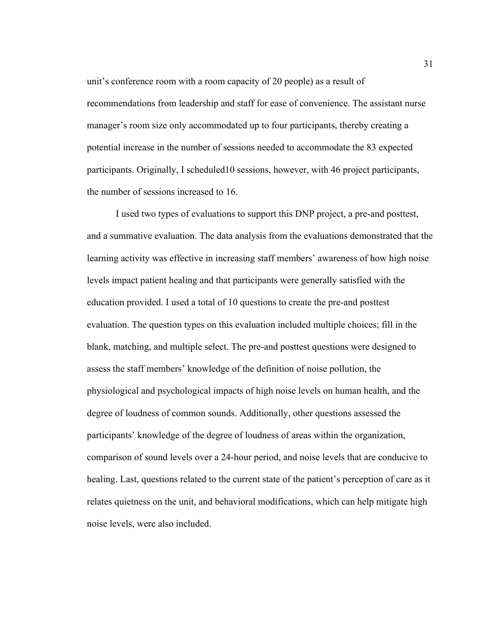unit's conference room with a room capacity of 20 people) as a result of recommendations from leadership and staff for ease of convenience. The assistant nurse manager's room size only accommodated up to four participants, thereby creating a potential increase in the number of sessions needed to accommodate the 83 expected participants. Originally, I scheduled10 sessions, however, with 46 project participants, the number of sessions increased to 16.

I used two types of evaluations to support this DNP project, a pre-and posttest, and a summative evaluation. The data analysis from the evaluations demonstrated that the learning activity was effective in increasing staff members' awareness of how high noise levels impact patient healing and that participants were generally satisfied with the education provided. I used a total of 10 questions to create the pre-and posttest evaluation. The question types on this evaluation included multiple choices; fill in the blank, matching, and multiple select. The pre-and posttest questions were designed to assess the staff members' knowledge of the definition of noise pollution, the physiological and psychological impacts of high noise levels on human health, and the degree of loudness of common sounds. Additionally, other questions assessed the participants' knowledge of the degree of loudness of areas within the organization, comparison of sound levels over a 24-hour period, and noise levels that are conducive to healing. Last, questions related to the current state of the patient's perception of care as it relates quietness on the unit, and behavioral modifications, which can help mitigate high noise levels, were also included.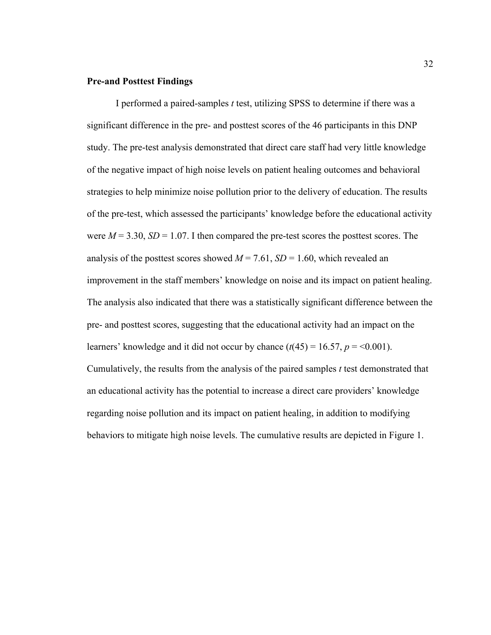## **Pre-and Posttest Findings**

I performed a paired-samples *t* test, utilizing SPSS to determine if there was a significant difference in the pre- and posttest scores of the 46 participants in this DNP study. The pre-test analysis demonstrated that direct care staff had very little knowledge of the negative impact of high noise levels on patient healing outcomes and behavioral strategies to help minimize noise pollution prior to the delivery of education. The results of the pre-test, which assessed the participants' knowledge before the educational activity were  $M = 3.30$ ,  $SD = 1.07$ . I then compared the pre-test scores the posttest scores. The analysis of the posttest scores showed  $M = 7.61$ ,  $SD = 1.60$ , which revealed an improvement in the staff members' knowledge on noise and its impact on patient healing. The analysis also indicated that there was a statistically significant difference between the pre- and posttest scores, suggesting that the educational activity had an impact on the learners' knowledge and it did not occur by chance  $(t(45) = 16.57, p = 0.001)$ . Cumulatively, the results from the analysis of the paired samples *t* test demonstrated that an educational activity has the potential to increase a direct care providers' knowledge regarding noise pollution and its impact on patient healing, in addition to modifying behaviors to mitigate high noise levels. The cumulative results are depicted in Figure 1.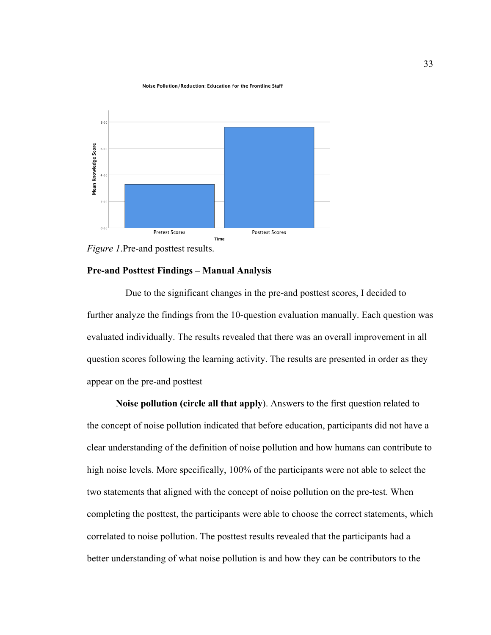#### Noise Pollution/Reduction: Education for the Frontline Staff



*Figure 1*.Pre-and posttest results.

## **Pre-and Posttest Findings – Manual Analysis**

Due to the significant changes in the pre-and posttest scores, I decided to further analyze the findings from the 10-question evaluation manually. Each question was evaluated individually. The results revealed that there was an overall improvement in all question scores following the learning activity. The results are presented in order as they appear on the pre-and posttest

**Noise pollution (circle all that apply**). Answers to the first question related to the concept of noise pollution indicated that before education, participants did not have a clear understanding of the definition of noise pollution and how humans can contribute to high noise levels. More specifically, 100% of the participants were not able to select the two statements that aligned with the concept of noise pollution on the pre-test. When completing the posttest, the participants were able to choose the correct statements, which correlated to noise pollution. The posttest results revealed that the participants had a better understanding of what noise pollution is and how they can be contributors to the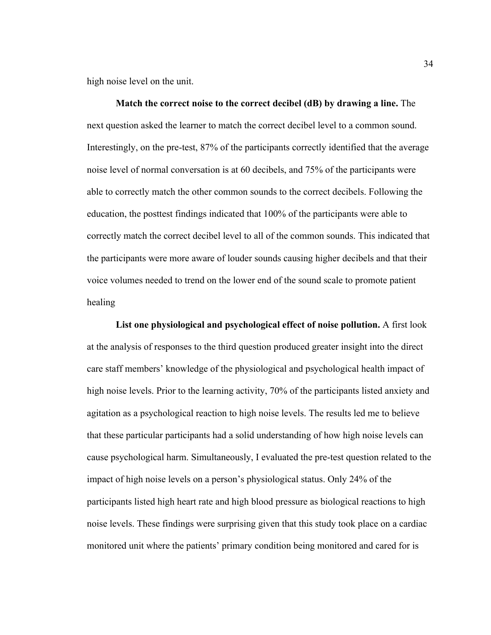high noise level on the unit.

**Match the correct noise to the correct decibel (dB) by drawing a line.** The next question asked the learner to match the correct decibel level to a common sound. Interestingly, on the pre-test, 87% of the participants correctly identified that the average noise level of normal conversation is at 60 decibels, and 75% of the participants were able to correctly match the other common sounds to the correct decibels. Following the education, the posttest findings indicated that 100% of the participants were able to correctly match the correct decibel level to all of the common sounds. This indicated that the participants were more aware of louder sounds causing higher decibels and that their voice volumes needed to trend on the lower end of the sound scale to promote patient healing

**List one physiological and psychological effect of noise pollution.** A first look at the analysis of responses to the third question produced greater insight into the direct care staff members' knowledge of the physiological and psychological health impact of high noise levels. Prior to the learning activity, 70% of the participants listed anxiety and agitation as a psychological reaction to high noise levels. The results led me to believe that these particular participants had a solid understanding of how high noise levels can cause psychological harm. Simultaneously, I evaluated the pre-test question related to the impact of high noise levels on a person's physiological status. Only 24% of the participants listed high heart rate and high blood pressure as biological reactions to high noise levels. These findings were surprising given that this study took place on a cardiac monitored unit where the patients' primary condition being monitored and cared for is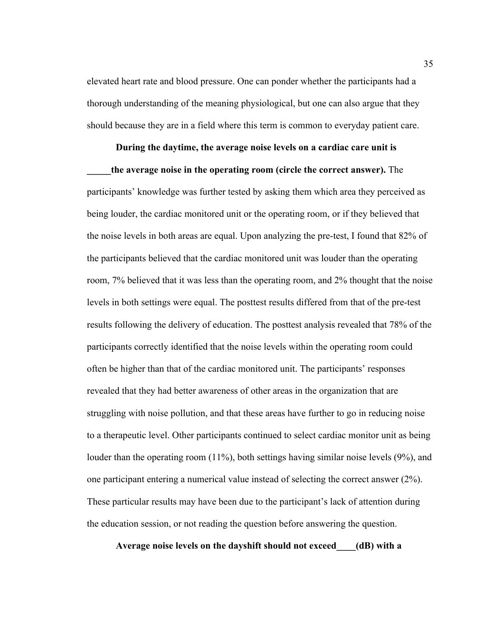elevated heart rate and blood pressure. One can ponder whether the participants had a thorough understanding of the meaning physiological, but one can also argue that they should because they are in a field where this term is common to everyday patient care.

## **During the daytime, the average noise levels on a cardiac care unit is**

**\_\_\_\_\_the average noise in the operating room (circle the correct answer).** The participants' knowledge was further tested by asking them which area they perceived as being louder, the cardiac monitored unit or the operating room, or if they believed that the noise levels in both areas are equal. Upon analyzing the pre-test, I found that 82% of the participants believed that the cardiac monitored unit was louder than the operating room, 7% believed that it was less than the operating room, and 2% thought that the noise levels in both settings were equal. The posttest results differed from that of the pre-test results following the delivery of education. The posttest analysis revealed that 78% of the participants correctly identified that the noise levels within the operating room could often be higher than that of the cardiac monitored unit. The participants' responses revealed that they had better awareness of other areas in the organization that are struggling with noise pollution, and that these areas have further to go in reducing noise to a therapeutic level. Other participants continued to select cardiac monitor unit as being louder than the operating room (11%), both settings having similar noise levels (9%), and one participant entering a numerical value instead of selecting the correct answer (2%). These particular results may have been due to the participant's lack of attention during the education session, or not reading the question before answering the question.

**Average noise levels on the dayshift should not exceed\_\_\_\_(dB) with a**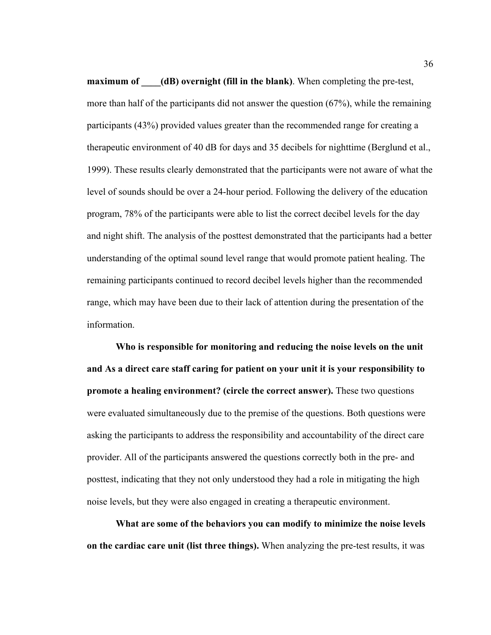**maximum of** (dB) overnight (fill in the blank). When completing the pre-test, more than half of the participants did not answer the question (67%), while the remaining participants (43%) provided values greater than the recommended range for creating a therapeutic environment of 40 dB for days and 35 decibels for nighttime (Berglund et al., 1999). These results clearly demonstrated that the participants were not aware of what the level of sounds should be over a 24-hour period. Following the delivery of the education program, 78% of the participants were able to list the correct decibel levels for the day and night shift. The analysis of the posttest demonstrated that the participants had a better understanding of the optimal sound level range that would promote patient healing. The remaining participants continued to record decibel levels higher than the recommended range, which may have been due to their lack of attention during the presentation of the information.

**Who is responsible for monitoring and reducing the noise levels on the unit and As a direct care staff caring for patient on your unit it is your responsibility to promote a healing environment? (circle the correct answer).** These two questions were evaluated simultaneously due to the premise of the questions. Both questions were asking the participants to address the responsibility and accountability of the direct care provider. All of the participants answered the questions correctly both in the pre- and posttest, indicating that they not only understood they had a role in mitigating the high noise levels, but they were also engaged in creating a therapeutic environment.

**What are some of the behaviors you can modify to minimize the noise levels on the cardiac care unit (list three things).** When analyzing the pre-test results, it was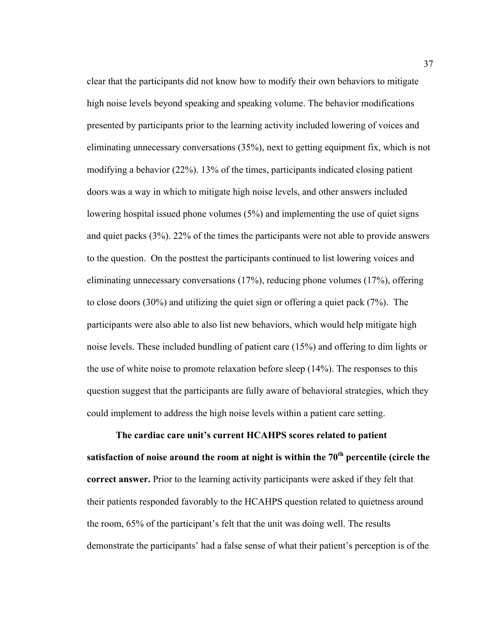clear that the participants did not know how to modify their own behaviors to mitigate high noise levels beyond speaking and speaking volume. The behavior modifications presented by participants prior to the learning activity included lowering of voices and eliminating unnecessary conversations (35%), next to getting equipment fix, which is not modifying a behavior (22%). 13% of the times, participants indicated closing patient doors was a way in which to mitigate high noise levels, and other answers included lowering hospital issued phone volumes (5%) and implementing the use of quiet signs and quiet packs (3%). 22% of the times the participants were not able to provide answers to the question. On the posttest the participants continued to list lowering voices and eliminating unnecessary conversations (17%), reducing phone volumes (17%), offering to close doors (30%) and utilizing the quiet sign or offering a quiet pack (7%). The participants were also able to also list new behaviors, which would help mitigate high noise levels. These included bundling of patient care (15%) and offering to dim lights or the use of white noise to promote relaxation before sleep (14%). The responses to this question suggest that the participants are fully aware of behavioral strategies, which they could implement to address the high noise levels within a patient care setting.

**The cardiac care unit's current HCAHPS scores related to patient satisfaction of noise around the room at night is within the 70th percentile (circle the correct answer.** Prior to the learning activity participants were asked if they felt that their patients responded favorably to the HCAHPS question related to quietness around the room, 65% of the participant's felt that the unit was doing well. The results demonstrate the participants' had a false sense of what their patient's perception is of the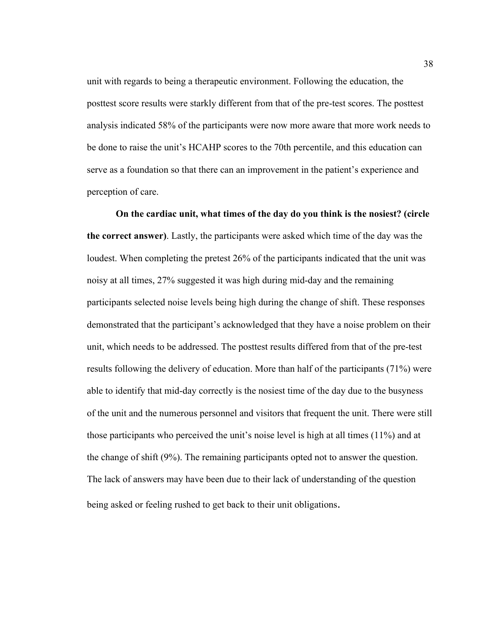unit with regards to being a therapeutic environment. Following the education, the posttest score results were starkly different from that of the pre-test scores. The posttest analysis indicated 58% of the participants were now more aware that more work needs to be done to raise the unit's HCAHP scores to the 70th percentile, and this education can serve as a foundation so that there can an improvement in the patient's experience and perception of care.

**On the cardiac unit, what times of the day do you think is the nosiest? (circle the correct answer)**. Lastly, the participants were asked which time of the day was the loudest. When completing the pretest 26% of the participants indicated that the unit was noisy at all times, 27% suggested it was high during mid-day and the remaining participants selected noise levels being high during the change of shift. These responses demonstrated that the participant's acknowledged that they have a noise problem on their unit, which needs to be addressed. The posttest results differed from that of the pre-test results following the delivery of education. More than half of the participants (71%) were able to identify that mid-day correctly is the nosiest time of the day due to the busyness of the unit and the numerous personnel and visitors that frequent the unit. There were still those participants who perceived the unit's noise level is high at all times (11%) and at the change of shift (9%). The remaining participants opted not to answer the question. The lack of answers may have been due to their lack of understanding of the question being asked or feeling rushed to get back to their unit obligations.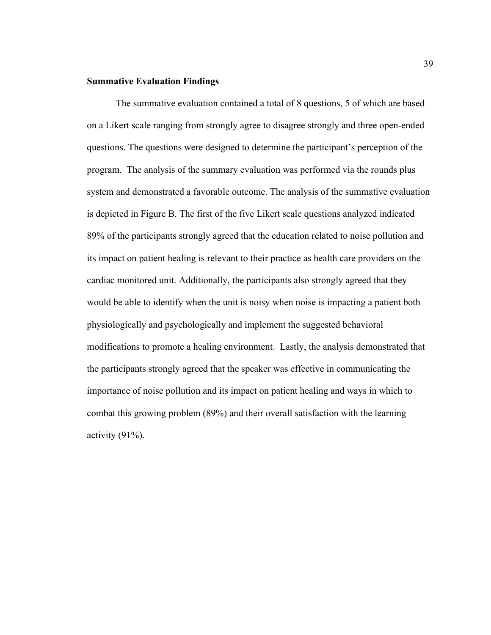## **Summative Evaluation Findings**

The summative evaluation contained a total of 8 questions, 5 of which are based on a Likert scale ranging from strongly agree to disagree strongly and three open-ended questions. The questions were designed to determine the participant's perception of the program. The analysis of the summary evaluation was performed via the rounds plus system and demonstrated a favorable outcome. The analysis of the summative evaluation is depicted in Figure B. The first of the five Likert scale questions analyzed indicated 89% of the participants strongly agreed that the education related to noise pollution and its impact on patient healing is relevant to their practice as health care providers on the cardiac monitored unit. Additionally, the participants also strongly agreed that they would be able to identify when the unit is noisy when noise is impacting a patient both physiologically and psychologically and implement the suggested behavioral modifications to promote a healing environment. Lastly, the analysis demonstrated that the participants strongly agreed that the speaker was effective in communicating the importance of noise pollution and its impact on patient healing and ways in which to combat this growing problem (89%) and their overall satisfaction with the learning activity  $(91\%)$ .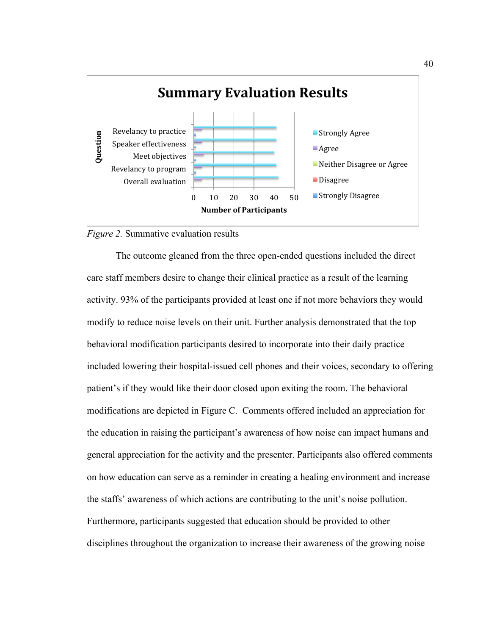

*Figure 2.* Summative evaluation results

The outcome gleaned from the three open-ended questions included the direct care staff members desire to change their clinical practice as a result of the learning activity. 93% of the participants provided at least one if not more behaviors they would modify to reduce noise levels on their unit. Further analysis demonstrated that the top behavioral modification participants desired to incorporate into their daily practice included lowering their hospital-issued cell phones and their voices, secondary to offering patient's if they would like their door closed upon exiting the room. The behavioral modifications are depicted in Figure C. Comments offered included an appreciation for the education in raising the participant's awareness of how noise can impact humans and general appreciation for the activity and the presenter. Participants also offered comments on how education can serve as a reminder in creating a healing environment and increase the staffs' awareness of which actions are contributing to the unit's noise pollution. Furthermore, participants suggested that education should be provided to other disciplines throughout the organization to increase their awareness of the growing noise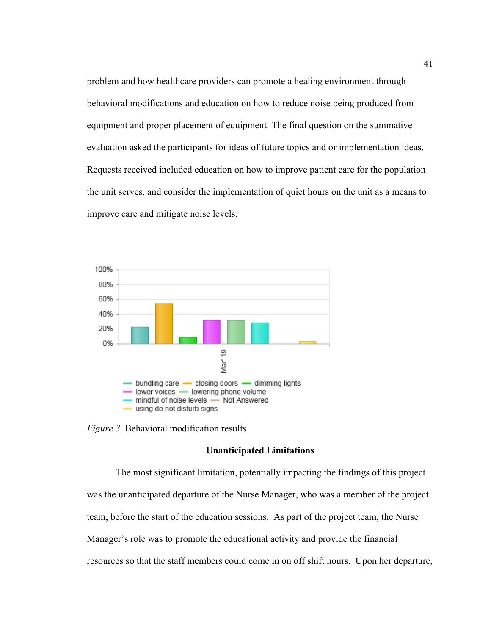problem and how healthcare providers can promote a healing environment through behavioral modifications and education on how to reduce noise being produced from equipment and proper placement of equipment. The final question on the summative evaluation asked the participants for ideas of future topics and or implementation ideas. Requests received included education on how to improve patient care for the population the unit serves, and consider the implementation of quiet hours on the unit as a means to improve care and mitigate noise levels.



*Figure 3.* Behavioral modification results

## **Unanticipated Limitations**

The most significant limitation, potentially impacting the findings of this project was the unanticipated departure of the Nurse Manager, who was a member of the project team, before the start of the education sessions. As part of the project team, the Nurse Manager's role was to promote the educational activity and provide the financial resources so that the staff members could come in on off shift hours. Upon her departure,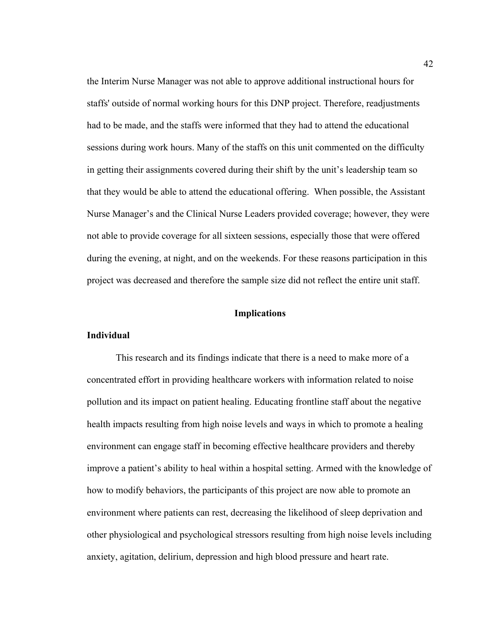the Interim Nurse Manager was not able to approve additional instructional hours for staffs' outside of normal working hours for this DNP project. Therefore, readjustments had to be made, and the staffs were informed that they had to attend the educational sessions during work hours. Many of the staffs on this unit commented on the difficulty in getting their assignments covered during their shift by the unit's leadership team so that they would be able to attend the educational offering. When possible, the Assistant Nurse Manager's and the Clinical Nurse Leaders provided coverage; however, they were not able to provide coverage for all sixteen sessions, especially those that were offered during the evening, at night, and on the weekends. For these reasons participation in this project was decreased and therefore the sample size did not reflect the entire unit staff.

# **Implications**

# **Individual**

This research and its findings indicate that there is a need to make more of a concentrated effort in providing healthcare workers with information related to noise pollution and its impact on patient healing. Educating frontline staff about the negative health impacts resulting from high noise levels and ways in which to promote a healing environment can engage staff in becoming effective healthcare providers and thereby improve a patient's ability to heal within a hospital setting. Armed with the knowledge of how to modify behaviors, the participants of this project are now able to promote an environment where patients can rest, decreasing the likelihood of sleep deprivation and other physiological and psychological stressors resulting from high noise levels including anxiety, agitation, delirium, depression and high blood pressure and heart rate.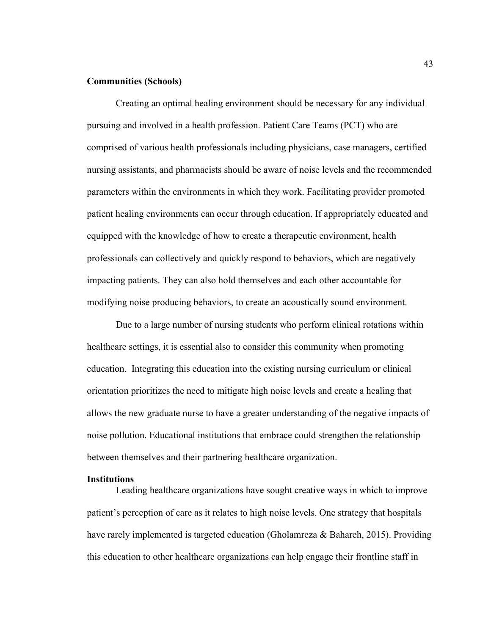## **Communities (Schools)**

Creating an optimal healing environment should be necessary for any individual pursuing and involved in a health profession. Patient Care Teams (PCT) who are comprised of various health professionals including physicians, case managers, certified nursing assistants, and pharmacists should be aware of noise levels and the recommended parameters within the environments in which they work. Facilitating provider promoted patient healing environments can occur through education. If appropriately educated and equipped with the knowledge of how to create a therapeutic environment, health professionals can collectively and quickly respond to behaviors, which are negatively impacting patients. They can also hold themselves and each other accountable for modifying noise producing behaviors, to create an acoustically sound environment.

Due to a large number of nursing students who perform clinical rotations within healthcare settings, it is essential also to consider this community when promoting education. Integrating this education into the existing nursing curriculum or clinical orientation prioritizes the need to mitigate high noise levels and create a healing that allows the new graduate nurse to have a greater understanding of the negative impacts of noise pollution. Educational institutions that embrace could strengthen the relationship between themselves and their partnering healthcare organization.

#### **Institutions**

Leading healthcare organizations have sought creative ways in which to improve patient's perception of care as it relates to high noise levels. One strategy that hospitals have rarely implemented is targeted education (Gholamreza & Bahareh, 2015). Providing this education to other healthcare organizations can help engage their frontline staff in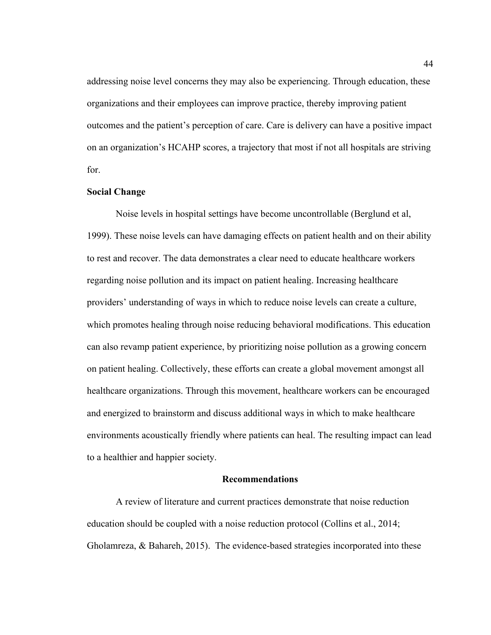addressing noise level concerns they may also be experiencing. Through education, these organizations and their employees can improve practice, thereby improving patient outcomes and the patient's perception of care. Care is delivery can have a positive impact on an organization's HCAHP scores, a trajectory that most if not all hospitals are striving for.

# **Social Change**

Noise levels in hospital settings have become uncontrollable (Berglund et al, 1999). These noise levels can have damaging effects on patient health and on their ability to rest and recover. The data demonstrates a clear need to educate healthcare workers regarding noise pollution and its impact on patient healing. Increasing healthcare providers' understanding of ways in which to reduce noise levels can create a culture, which promotes healing through noise reducing behavioral modifications. This education can also revamp patient experience, by prioritizing noise pollution as a growing concern on patient healing. Collectively, these efforts can create a global movement amongst all healthcare organizations. Through this movement, healthcare workers can be encouraged and energized to brainstorm and discuss additional ways in which to make healthcare environments acoustically friendly where patients can heal. The resulting impact can lead to a healthier and happier society.

## **Recommendations**

A review of literature and current practices demonstrate that noise reduction education should be coupled with a noise reduction protocol (Collins et al., 2014; Gholamreza, & Bahareh, 2015). The evidence-based strategies incorporated into these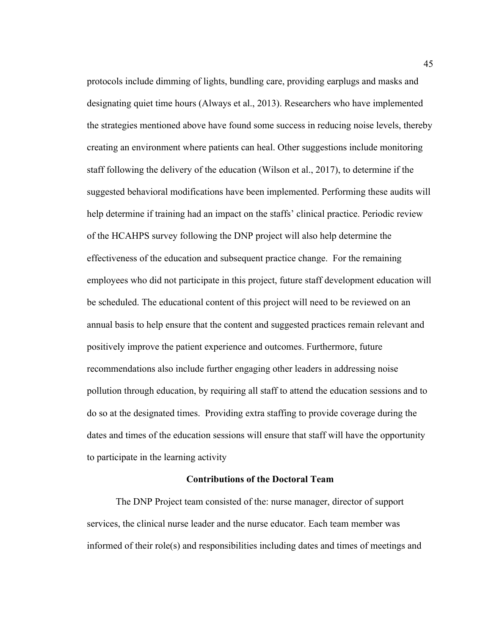protocols include dimming of lights, bundling care, providing earplugs and masks and designating quiet time hours (Always et al., 2013). Researchers who have implemented the strategies mentioned above have found some success in reducing noise levels, thereby creating an environment where patients can heal. Other suggestions include monitoring staff following the delivery of the education (Wilson et al., 2017), to determine if the suggested behavioral modifications have been implemented. Performing these audits will help determine if training had an impact on the staffs' clinical practice. Periodic review of the HCAHPS survey following the DNP project will also help determine the effectiveness of the education and subsequent practice change. For the remaining employees who did not participate in this project, future staff development education will be scheduled. The educational content of this project will need to be reviewed on an annual basis to help ensure that the content and suggested practices remain relevant and positively improve the patient experience and outcomes. Furthermore, future recommendations also include further engaging other leaders in addressing noise pollution through education, by requiring all staff to attend the education sessions and to do so at the designated times. Providing extra staffing to provide coverage during the dates and times of the education sessions will ensure that staff will have the opportunity to participate in the learning activity

#### **Contributions of the Doctoral Team**

The DNP Project team consisted of the: nurse manager, director of support services, the clinical nurse leader and the nurse educator. Each team member was informed of their role(s) and responsibilities including dates and times of meetings and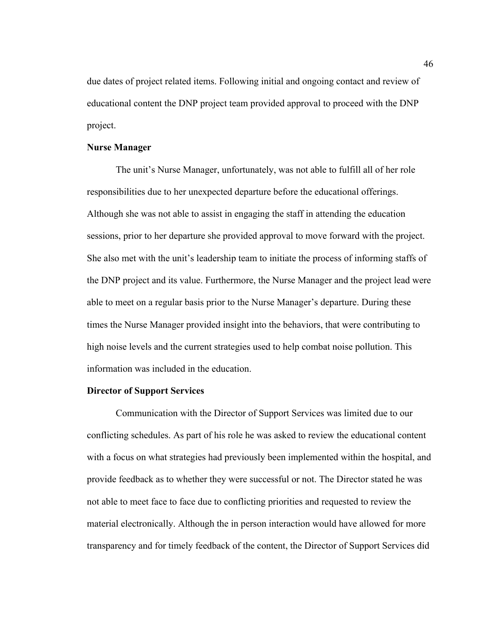due dates of project related items. Following initial and ongoing contact and review of educational content the DNP project team provided approval to proceed with the DNP project.

## **Nurse Manager**

The unit's Nurse Manager, unfortunately, was not able to fulfill all of her role responsibilities due to her unexpected departure before the educational offerings. Although she was not able to assist in engaging the staff in attending the education sessions, prior to her departure she provided approval to move forward with the project. She also met with the unit's leadership team to initiate the process of informing staffs of the DNP project and its value. Furthermore, the Nurse Manager and the project lead were able to meet on a regular basis prior to the Nurse Manager's departure. During these times the Nurse Manager provided insight into the behaviors, that were contributing to high noise levels and the current strategies used to help combat noise pollution. This information was included in the education.

#### **Director of Support Services**

Communication with the Director of Support Services was limited due to our conflicting schedules. As part of his role he was asked to review the educational content with a focus on what strategies had previously been implemented within the hospital, and provide feedback as to whether they were successful or not. The Director stated he was not able to meet face to face due to conflicting priorities and requested to review the material electronically. Although the in person interaction would have allowed for more transparency and for timely feedback of the content, the Director of Support Services did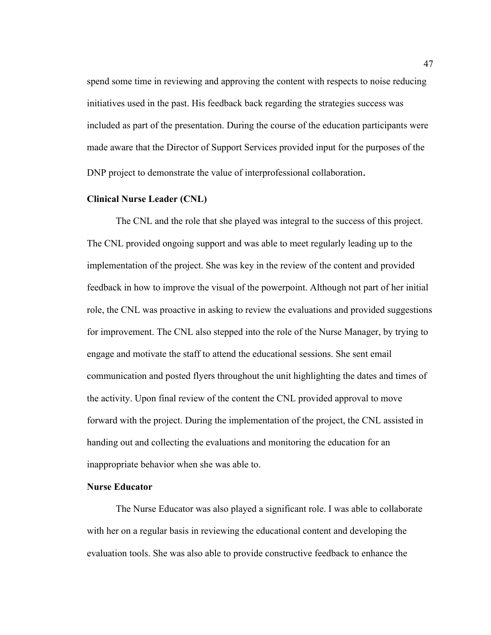spend some time in reviewing and approving the content with respects to noise reducing initiatives used in the past. His feedback back regarding the strategies success was included as part of the presentation. During the course of the education participants were made aware that the Director of Support Services provided input for the purposes of the DNP project to demonstrate the value of interprofessional collaboration.

## **Clinical Nurse Leader (CNL)**

The CNL and the role that she played was integral to the success of this project. The CNL provided ongoing support and was able to meet regularly leading up to the implementation of the project. She was key in the review of the content and provided feedback in how to improve the visual of the powerpoint. Although not part of her initial role, the CNL was proactive in asking to review the evaluations and provided suggestions for improvement. The CNL also stepped into the role of the Nurse Manager, by trying to engage and motivate the staff to attend the educational sessions. She sent email communication and posted flyers throughout the unit highlighting the dates and times of the activity. Upon final review of the content the CNL provided approval to move forward with the project. During the implementation of the project, the CNL assisted in handing out and collecting the evaluations and monitoring the education for an inappropriate behavior when she was able to.

# **Nurse Educator**

The Nurse Educator was also played a significant role. I was able to collaborate with her on a regular basis in reviewing the educational content and developing the evaluation tools. She was also able to provide constructive feedback to enhance the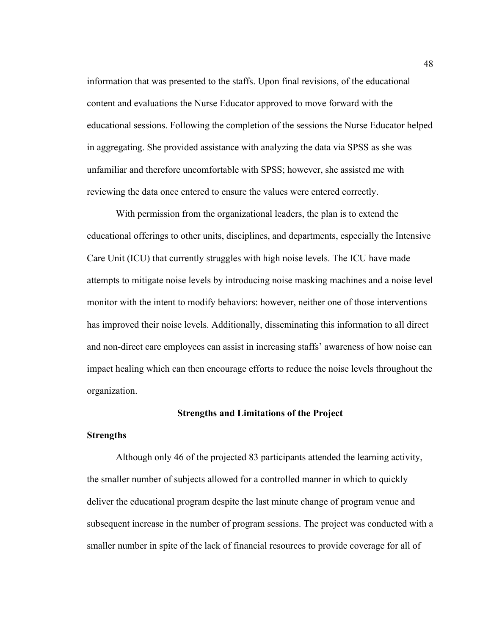information that was presented to the staffs. Upon final revisions, of the educational content and evaluations the Nurse Educator approved to move forward with the educational sessions. Following the completion of the sessions the Nurse Educator helped in aggregating. She provided assistance with analyzing the data via SPSS as she was unfamiliar and therefore uncomfortable with SPSS; however, she assisted me with reviewing the data once entered to ensure the values were entered correctly.

With permission from the organizational leaders, the plan is to extend the educational offerings to other units, disciplines, and departments, especially the Intensive Care Unit (ICU) that currently struggles with high noise levels. The ICU have made attempts to mitigate noise levels by introducing noise masking machines and a noise level monitor with the intent to modify behaviors: however, neither one of those interventions has improved their noise levels. Additionally, disseminating this information to all direct and non-direct care employees can assist in increasing staffs' awareness of how noise can impact healing which can then encourage efforts to reduce the noise levels throughout the organization.

## **Strengths and Limitations of the Project**

#### **Strengths**

Although only 46 of the projected 83 participants attended the learning activity, the smaller number of subjects allowed for a controlled manner in which to quickly deliver the educational program despite the last minute change of program venue and subsequent increase in the number of program sessions. The project was conducted with a smaller number in spite of the lack of financial resources to provide coverage for all of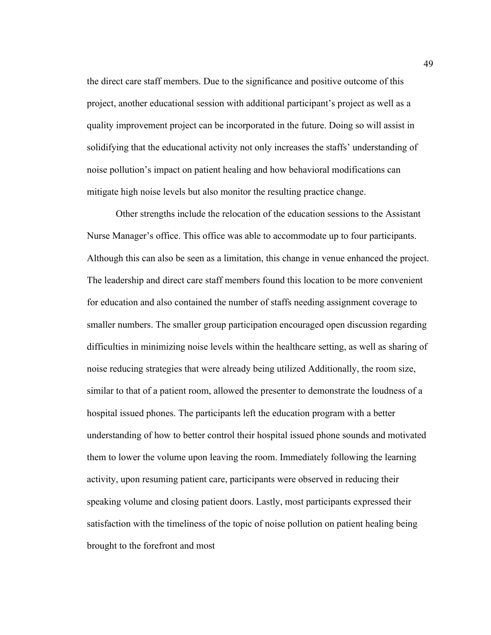the direct care staff members. Due to the significance and positive outcome of this project, another educational session with additional participant's project as well as a quality improvement project can be incorporated in the future. Doing so will assist in solidifying that the educational activity not only increases the staffs' understanding of noise pollution's impact on patient healing and how behavioral modifications can mitigate high noise levels but also monitor the resulting practice change.

Other strengths include the relocation of the education sessions to the Assistant Nurse Manager's office. This office was able to accommodate up to four participants. Although this can also be seen as a limitation, this change in venue enhanced the project. The leadership and direct care staff members found this location to be more convenient for education and also contained the number of staffs needing assignment coverage to smaller numbers. The smaller group participation encouraged open discussion regarding difficulties in minimizing noise levels within the healthcare setting, as well as sharing of noise reducing strategies that were already being utilized Additionally, the room size, similar to that of a patient room, allowed the presenter to demonstrate the loudness of a hospital issued phones. The participants left the education program with a better understanding of how to better control their hospital issued phone sounds and motivated them to lower the volume upon leaving the room. Immediately following the learning activity, upon resuming patient care, participants were observed in reducing their speaking volume and closing patient doors. Lastly, most participants expressed their satisfaction with the timeliness of the topic of noise pollution on patient healing being brought to the forefront and most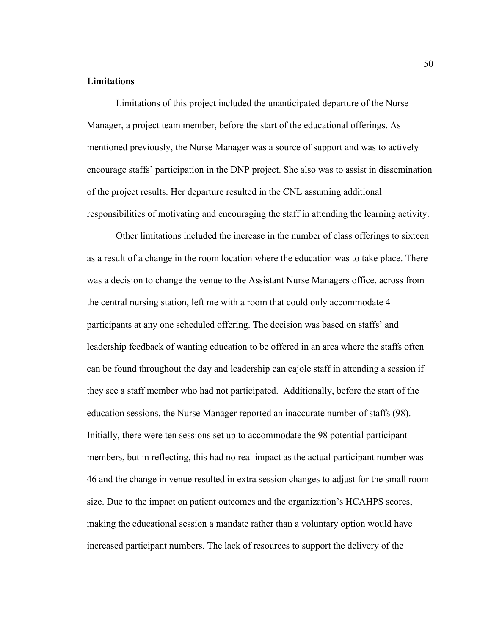## **Limitations**

Limitations of this project included the unanticipated departure of the Nurse Manager, a project team member, before the start of the educational offerings. As mentioned previously, the Nurse Manager was a source of support and was to actively encourage staffs' participation in the DNP project. She also was to assist in dissemination of the project results. Her departure resulted in the CNL assuming additional responsibilities of motivating and encouraging the staff in attending the learning activity.

Other limitations included the increase in the number of class offerings to sixteen as a result of a change in the room location where the education was to take place. There was a decision to change the venue to the Assistant Nurse Managers office, across from the central nursing station, left me with a room that could only accommodate 4 participants at any one scheduled offering. The decision was based on staffs' and leadership feedback of wanting education to be offered in an area where the staffs often can be found throughout the day and leadership can cajole staff in attending a session if they see a staff member who had not participated. Additionally, before the start of the education sessions, the Nurse Manager reported an inaccurate number of staffs (98). Initially, there were ten sessions set up to accommodate the 98 potential participant members, but in reflecting, this had no real impact as the actual participant number was 46 and the change in venue resulted in extra session changes to adjust for the small room size. Due to the impact on patient outcomes and the organization's HCAHPS scores, making the educational session a mandate rather than a voluntary option would have increased participant numbers. The lack of resources to support the delivery of the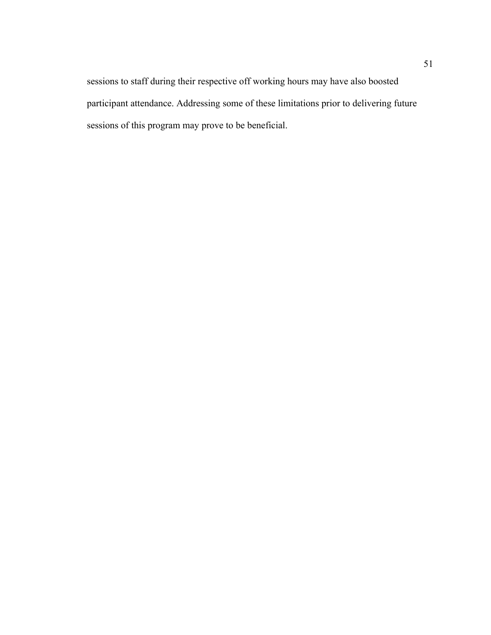sessions to staff during their respective off working hours may have also boosted participant attendance. Addressing some of these limitations prior to delivering future sessions of this program may prove to be beneficial.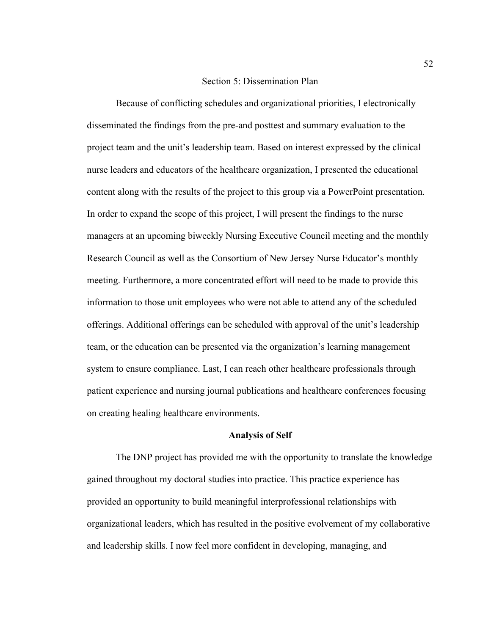### Section 5: Dissemination Plan

Because of conflicting schedules and organizational priorities, I electronically disseminated the findings from the pre-and posttest and summary evaluation to the project team and the unit's leadership team. Based on interest expressed by the clinical nurse leaders and educators of the healthcare organization, I presented the educational content along with the results of the project to this group via a PowerPoint presentation. In order to expand the scope of this project, I will present the findings to the nurse managers at an upcoming biweekly Nursing Executive Council meeting and the monthly Research Council as well as the Consortium of New Jersey Nurse Educator's monthly meeting. Furthermore, a more concentrated effort will need to be made to provide this information to those unit employees who were not able to attend any of the scheduled offerings. Additional offerings can be scheduled with approval of the unit's leadership team, or the education can be presented via the organization's learning management system to ensure compliance. Last, I can reach other healthcare professionals through patient experience and nursing journal publications and healthcare conferences focusing on creating healing healthcare environments.

#### **Analysis of Self**

The DNP project has provided me with the opportunity to translate the knowledge gained throughout my doctoral studies into practice. This practice experience has provided an opportunity to build meaningful interprofessional relationships with organizational leaders, which has resulted in the positive evolvement of my collaborative and leadership skills. I now feel more confident in developing, managing, and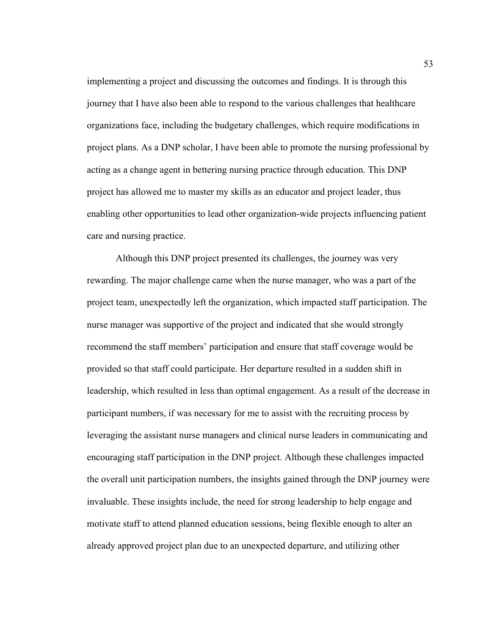implementing a project and discussing the outcomes and findings. It is through this journey that I have also been able to respond to the various challenges that healthcare organizations face, including the budgetary challenges, which require modifications in project plans. As a DNP scholar, I have been able to promote the nursing professional by acting as a change agent in bettering nursing practice through education. This DNP project has allowed me to master my skills as an educator and project leader, thus enabling other opportunities to lead other organization-wide projects influencing patient care and nursing practice.

Although this DNP project presented its challenges, the journey was very rewarding. The major challenge came when the nurse manager, who was a part of the project team, unexpectedly left the organization, which impacted staff participation. The nurse manager was supportive of the project and indicated that she would strongly recommend the staff members' participation and ensure that staff coverage would be provided so that staff could participate. Her departure resulted in a sudden shift in leadership, which resulted in less than optimal engagement. As a result of the decrease in participant numbers, if was necessary for me to assist with the recruiting process by leveraging the assistant nurse managers and clinical nurse leaders in communicating and encouraging staff participation in the DNP project. Although these challenges impacted the overall unit participation numbers, the insights gained through the DNP journey were invaluable. These insights include, the need for strong leadership to help engage and motivate staff to attend planned education sessions, being flexible enough to alter an already approved project plan due to an unexpected departure, and utilizing other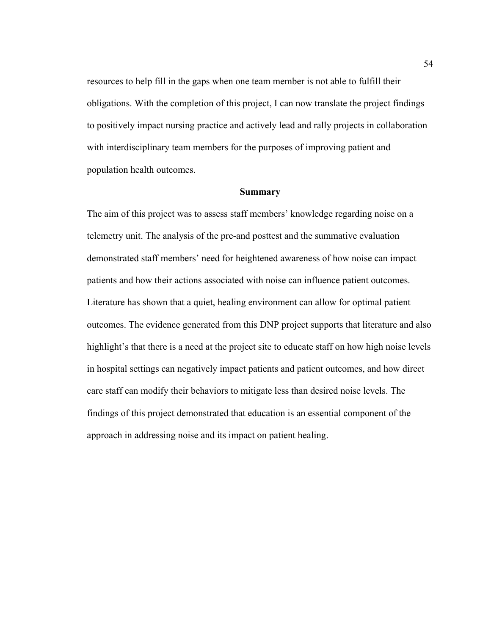resources to help fill in the gaps when one team member is not able to fulfill their obligations. With the completion of this project, I can now translate the project findings to positively impact nursing practice and actively lead and rally projects in collaboration with interdisciplinary team members for the purposes of improving patient and population health outcomes.

## **Summary**

The aim of this project was to assess staff members' knowledge regarding noise on a telemetry unit. The analysis of the pre-and posttest and the summative evaluation demonstrated staff members' need for heightened awareness of how noise can impact patients and how their actions associated with noise can influence patient outcomes. Literature has shown that a quiet, healing environment can allow for optimal patient outcomes. The evidence generated from this DNP project supports that literature and also highlight's that there is a need at the project site to educate staff on how high noise levels in hospital settings can negatively impact patients and patient outcomes, and how direct care staff can modify their behaviors to mitigate less than desired noise levels. The findings of this project demonstrated that education is an essential component of the approach in addressing noise and its impact on patient healing.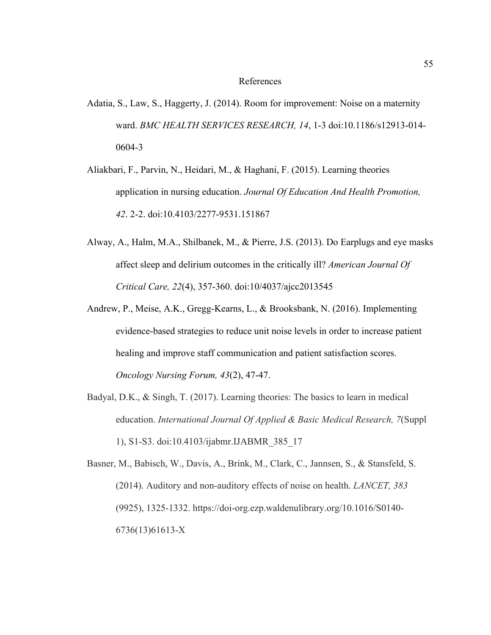#### References

- Adatia, S., Law, S., Haggerty, J. (2014). Room for improvement: Noise on a maternity ward. *BMC HEALTH SERVICES RESEARCH, 14*, 1-3 doi:10.1186/s12913-014- 0604-3
- Aliakbari, F., Parvin, N., Heidari, M., & Haghani, F. (2015). Learning theories application in nursing education. *Journal Of Education And Health Promotion, 42*. 2-2. doi:10.4103/2277-9531.151867
- Alway, A., Halm, M.A., Shilbanek, M., & Pierre, J.S. (2013). Do Earplugs and eye masks affect sleep and delirium outcomes in the critically ill? *American Journal Of Critical Care, 22*(4), 357-360. doi:10/4037/ajcc2013545
- Andrew, P., Meise, A.K., Gregg-Kearns, L., & Brooksbank, N. (2016). Implementing evidence-based strategies to reduce unit noise levels in order to increase patient healing and improve staff communication and patient satisfaction scores. *Oncology Nursing Forum, 43*(2), 47-47.
- Badyal, D.K., & Singh, T. (2017). Learning theories: The basics to learn in medical education. *International Journal Of Applied & Basic Medical Research, 7*(Suppl 1), S1-S3. doi:10.4103/ijabmr.IJABMR\_385\_17

Basner, M., Babisch, W., Davis, A., Brink, M., Clark, C., Jannsen, S., & Stansfeld, S. (2014). Auditory and non-auditory effects of noise on health. *LANCET, 383* (9925), 1325-1332. https://doi-org.ezp.waldenulibrary.org/10.1016/S0140- 6736(13)61613-X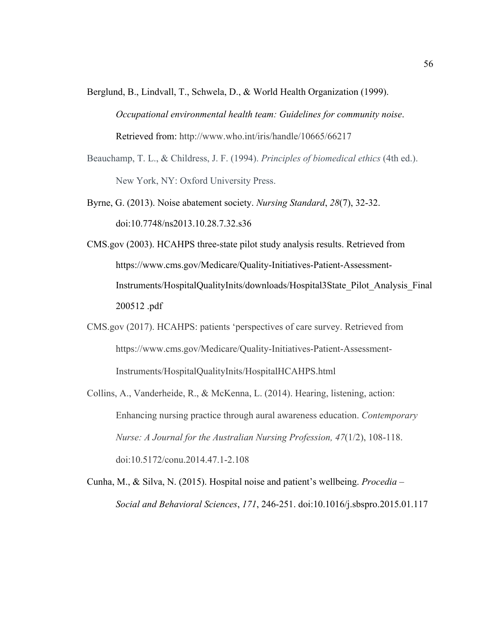- Berglund, B., Lindvall, T., Schwela, D., & World Health Organization (1999). *Occupational environmental health team: Guidelines for community noise*. Retrieved from: http://www.who.int/iris/handle/10665/66217
- Beauchamp, T. L., & Childress, J. F. (1994). *Principles of biomedical ethics* (4th ed.). New York, NY: Oxford University Press.
- Byrne, G. (2013). Noise abatement society. *Nursing Standard*, *28*(7), 32-32. doi:10.7748/ns2013.10.28.7.32.s36
- CMS.gov (2003). HCAHPS three-state pilot study analysis results. Retrieved from https://www.cms.gov/Medicare/Quality-Initiatives-Patient-Assessment-Instruments/HospitalQualityInits/downloads/Hospital3State\_Pilot\_Analysis\_Final 200512 .pdf
- CMS.gov (2017). HCAHPS: patients 'perspectives of care survey. Retrieved from https://www.cms.gov/Medicare/Quality-Initiatives-Patient-Assessment-Instruments/HospitalQualityInits/HospitalHCAHPS.html
- Collins, A., Vanderheide, R., & McKenna, L. (2014). Hearing, listening, action: Enhancing nursing practice through aural awareness education. *Contemporary Nurse: A Journal for the Australian Nursing Profession, 47*(1/2), 108-118. doi:10.5172/conu.2014.47.1-2.108
- Cunha, M., & Silva, N. (2015). Hospital noise and patient's wellbeing. *Procedia – Social and Behavioral Sciences*, *171*, 246-251. doi:10.1016/j.sbspro.2015.01.117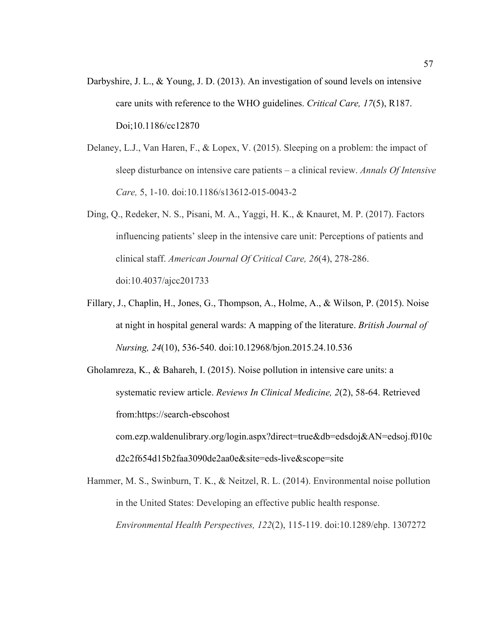- Darbyshire, J. L., & Young, J. D. (2013). An investigation of sound levels on intensive care units with reference to the WHO guidelines. *Critical Care, 17*(5), R187. Doi;10.1186/cc12870
- Delaney, L.J., Van Haren, F., & Lopex, V. (2015). Sleeping on a problem: the impact of sleep disturbance on intensive care patients – a clinical review. *Annals Of Intensive Care,* 5, 1-10. doi:10.1186/s13612-015-0043-2
- Ding, Q., Redeker, N. S., Pisani, M. A., Yaggi, H. K., & Knauret, M. P. (2017). Factors influencing patients' sleep in the intensive care unit: Perceptions of patients and clinical staff. *American Journal Of Critical Care, 26*(4), 278-286. doi:10.4037/ajcc201733
- Fillary, J., Chaplin, H., Jones, G., Thompson, A., Holme, A., & Wilson, P. (2015). Noise at night in hospital general wards: A mapping of the literature. *British Journal of Nursing, 24*(10), 536-540. doi:10.12968/bjon.2015.24.10.536
- Gholamreza, K., & Bahareh, I. (2015). Noise pollution in intensive care units: a systematic review article. *Reviews In Clinical Medicine, 2*(2), 58-64. Retrieved from:https://search-ebscohost com.ezp.waldenulibrary.org/login.aspx?direct=true&db=edsdoj&AN=edsoj.f010c d2c2f654d15b2faa3090de2aa0e&site=eds-live&scope=site
- Hammer, M. S., Swinburn, T. K., & Neitzel, R. L. (2014). Environmental noise pollution in the United States: Developing an effective public health response. *Environmental Health Perspectives, 122*(2), 115-119. doi:10.1289/ehp. 1307272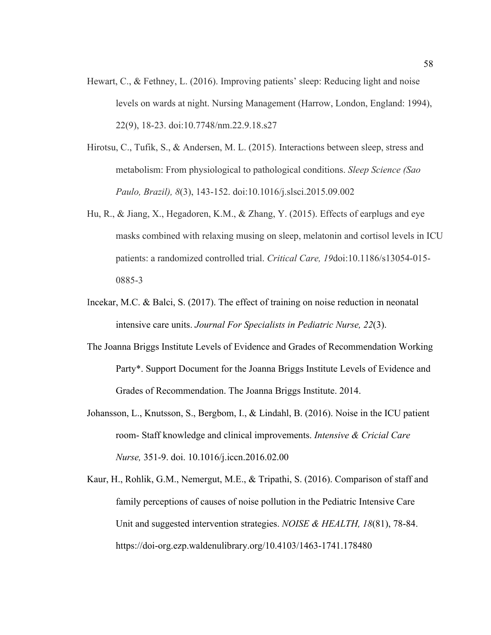- Hewart, C., & Fethney, L. (2016). Improving patients' sleep: Reducing light and noise levels on wards at night. Nursing Management (Harrow, London, England: 1994), 22(9), 18-23. doi:10.7748/nm.22.9.18.s27
- Hirotsu, C., Tufik, S., & Andersen, M. L. (2015). Interactions between sleep, stress and metabolism: From physiological to pathological conditions. *Sleep Science (Sao Paulo, Brazil), 8*(3), 143-152. doi:10.1016/j.slsci.2015.09.002
- Hu, R., & Jiang, X., Hegadoren, K.M., & Zhang, Y. (2015). Effects of earplugs and eye masks combined with relaxing musing on sleep, melatonin and cortisol levels in ICU patients: a randomized controlled trial. *Critical Care, 19*doi:10.1186/s13054-015- 0885-3
- Incekar, M.C. & Balci, S. (2017). The effect of training on noise reduction in neonatal intensive care units. *Journal For Specialists in Pediatric Nurse, 22*(3).
- The Joanna Briggs Institute Levels of Evidence and Grades of Recommendation Working Party\*. Support Document for the Joanna Briggs Institute Levels of Evidence and Grades of Recommendation. The Joanna Briggs Institute. 2014.
- Johansson, L., Knutsson, S., Bergbom, I., & Lindahl, B. (2016). Noise in the ICU patient room- Staff knowledge and clinical improvements. *Intensive & Cricial Care Nurse,* 351-9. doi. 10.1016/j.iccn.2016.02.00
- Kaur, H., Rohlik, G.M., Nemergut, M.E., & Tripathi, S. (2016). Comparison of staff and family perceptions of causes of noise pollution in the Pediatric Intensive Care Unit and suggested intervention strategies. *NOISE & HEALTH, 18*(81), 78-84. https://doi-org.ezp.waldenulibrary.org/10.4103/1463-1741.178480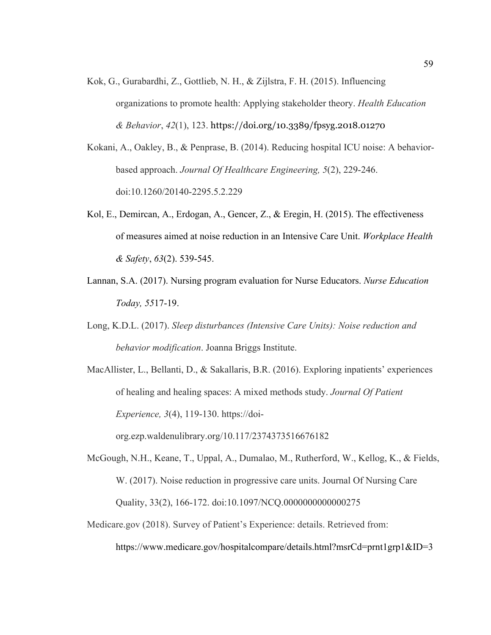- Kok, G., Gurabardhi, Z., Gottlieb, N. H., & Zijlstra, F. H. (2015). Influencing organizations to promote health: Applying stakeholder theory. *Health Education & Behavior*, *42*(1), 123. https://doi.org/10.3389/fpsyg.2018.01270
- Kokani, A., Oakley, B., & Penprase, B. (2014). Reducing hospital ICU noise: A behaviorbased approach. *Journal Of Healthcare Engineering, 5*(2), 229-246. doi:10.1260/20140-2295.5.2.229
- Kol, E., Demircan, A., Erdogan, A., Gencer, Z., & Eregin, H. (2015). The effectiveness of measures aimed at noise reduction in an Intensive Care Unit. *Workplace Health & Safety*, *63*(2). 539-545.
- Lannan, S.A. (2017). Nursing program evaluation for Nurse Educators. *Nurse Education Today, 55*17-19.
- Long, K.D.L. (2017). *Sleep disturbances (Intensive Care Units): Noise reduction and behavior modification*. Joanna Briggs Institute.
- MacAllister, L., Bellanti, D., & Sakallaris, B.R. (2016). Exploring inpatients' experiences of healing and healing spaces: A mixed methods study. *Journal Of Patient Experience, 3*(4), 119-130. https://doi-

org.ezp.waldenulibrary.org/10.117/2374373516676182

- McGough, N.H., Keane, T., Uppal, A., Dumalao, M., Rutherford, W., Kellog, K., & Fields, W. (2017). Noise reduction in progressive care units. Journal Of Nursing Care Quality, 33(2), 166-172. doi:10.1097/NCQ.0000000000000275
- Medicare.gov (2018). Survey of Patient's Experience: details. Retrieved from: https://www.medicare.gov/hospitalcompare/details.html?msrCd=prnt1grp1&ID=3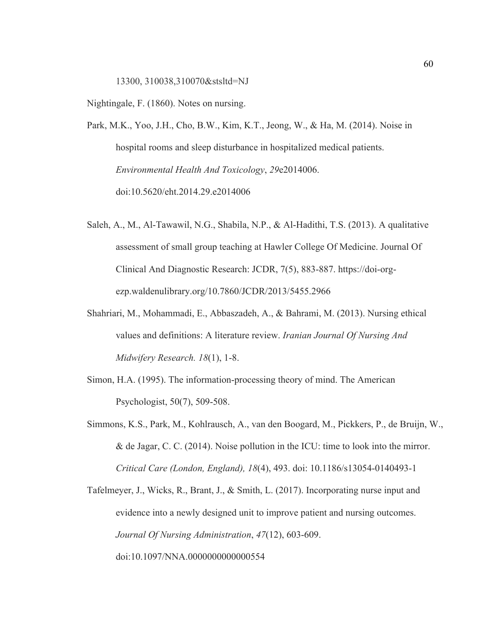13300, 310038,310070&stsltd=NJ

Nightingale, F. (1860). Notes on nursing.

Park, M.K., Yoo, J.H., Cho, B.W., Kim, K.T., Jeong, W., & Ha, M. (2014). Noise in hospital rooms and sleep disturbance in hospitalized medical patients. *Environmental Health And Toxicology*, *29*e2014006. doi:10.5620/eht.2014.29.e2014006

- Saleh, A., M., Al-Tawawil, N.G., Shabila, N.P., & Al-Hadithi, T.S. (2013). A qualitative assessment of small group teaching at Hawler College Of Medicine. Journal Of Clinical And Diagnostic Research: JCDR, 7(5), 883-887. https://doi-orgezp.waldenulibrary.org/10.7860/JCDR/2013/5455.2966
- Shahriari, M., Mohammadi, E., Abbaszadeh, A., & Bahrami, M. (2013). Nursing ethical values and definitions: A literature review. *Iranian Journal Of Nursing And Midwifery Research. 18*(1), 1-8.
- Simon, H.A. (1995). The information-processing theory of mind. The American Psychologist, 50(7), 509-508.
- Simmons, K.S., Park, M., Kohlrausch, A., van den Boogard, M., Pickkers, P., de Bruijn, W., & de Jagar, C. C. (2014). Noise pollution in the ICU: time to look into the mirror. *Critical Care (London, England), 18*(4), 493. doi: 10.1186/s13054-0140493-1

Tafelmeyer, J., Wicks, R., Brant, J., & Smith, L. (2017). Incorporating nurse input and evidence into a newly designed unit to improve patient and nursing outcomes. *Journal Of Nursing Administration*, *47*(12), 603-609. doi:10.1097/NNA.0000000000000554